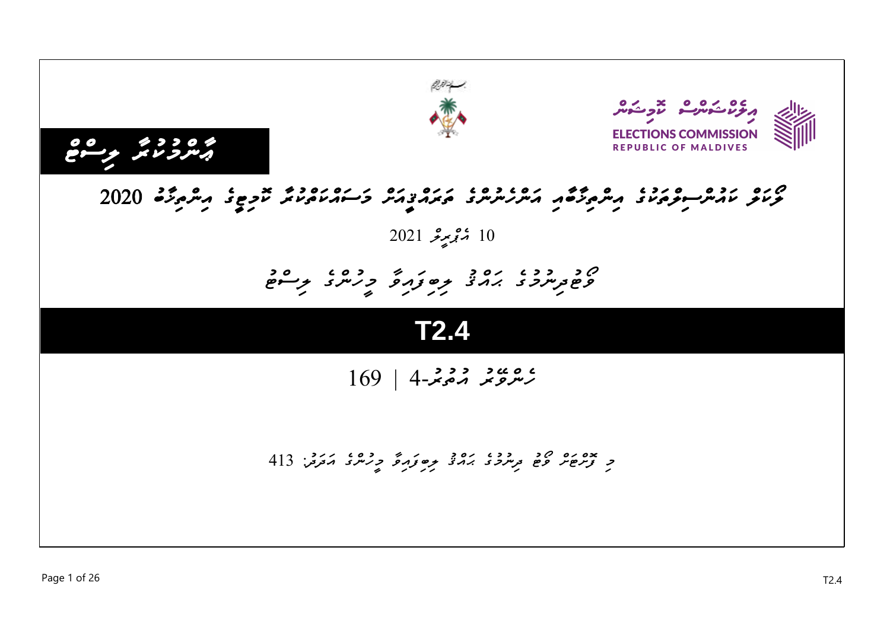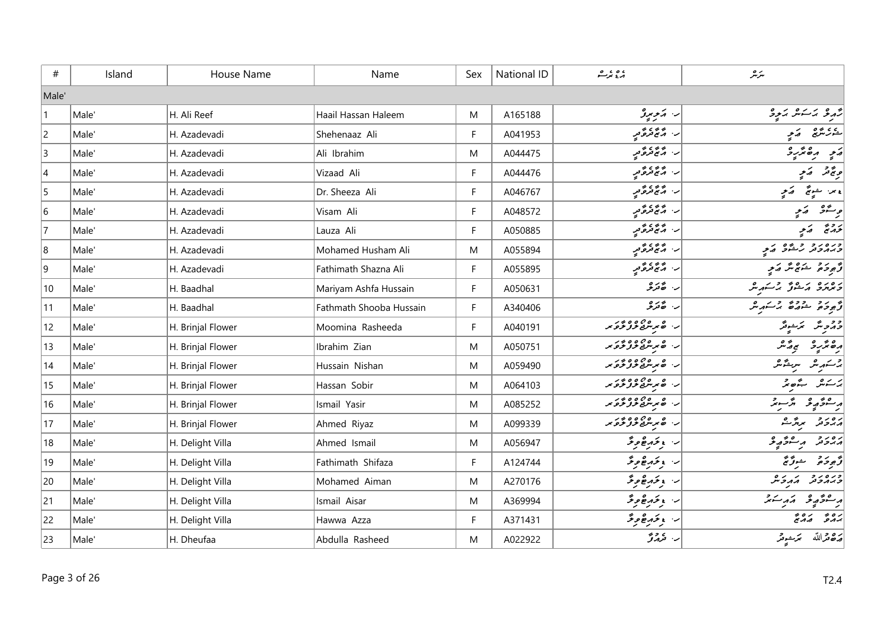| #               | Island | House Name        | Name                    | Sex | National ID | ، ه ، ره<br>مره برگ                                                                                                                                                                                                              | ىئرىتر                                                                                                                                                                                                                              |
|-----------------|--------|-------------------|-------------------------|-----|-------------|----------------------------------------------------------------------------------------------------------------------------------------------------------------------------------------------------------------------------------|-------------------------------------------------------------------------------------------------------------------------------------------------------------------------------------------------------------------------------------|
| Male'           |        |                   |                         |     |             |                                                                                                                                                                                                                                  |                                                                                                                                                                                                                                     |
| 1               | Male'  | H. Ali Reef       | Haail Hassan Haleem     | M   | A165188     | ر . مَ و بروْ                                                                                                                                                                                                                    | رحمانه والمستقر لتاريخ                                                                                                                                                                                                              |
| 2               | Male'  | H. Azadevadi      | Shehenaaz Ali           | F   | A041953     |                                                                                                                                                                                                                                  | شورشي كدمو                                                                                                                                                                                                                          |
| $\vert$ 3       | Male'  | H. Azadevadi      | Ali Ibrahim             | M   | A044475     | -<br>ر· دگنج تروگور                                                                                                                                                                                                              | أمو مقترع                                                                                                                                                                                                                           |
| $\vert 4$       | Male'  | H. Azadevadi      | Vizaad Ali              | F   | A044476     | ر په پختونگی کلیمه                                                                                                                                                                                                               | ءِ پڻ ڏيو                                                                                                                                                                                                                           |
| $\overline{5}$  | Male'  | H. Azadevadi      | Dr. Sheeza Ali          | F   | A046767     | ر په پختونگي کليمه                                                                                                                                                                                                               | ۽ من سيءَ " ان آھي.                                                                                                                                                                                                                 |
| $\vert 6 \vert$ | Male'  | H. Azadevadi      | Visam Ali               | F   | A048572     | ر په پختړه کمپر                                                                                                                                                                                                                  | ويشق مكعي                                                                                                                                                                                                                           |
| 7               | Male'  | H. Azadevadi      | Lauza Ali               | F   | A050885     | ر په پختونگی کلیمه                                                                                                                                                                                                               | تزويج المكمح                                                                                                                                                                                                                        |
| 8               | Male'  | H. Azadevadi      | Mohamed Husham Ali      | M   | A055894     | ر په دې دي.<br>ر . ه د پخ فروگور                                                                                                                                                                                                 |                                                                                                                                                                                                                                     |
| 9               | Male'  | H. Azadevadi      | Fathimath Shazna Ali    | F   | A055895     | ر په ۱۶۶۶ کې د کليمو کليمو کليمو کليمو کليمو کليمو کليمو کليمو کليمو کليمو کليمو کليمو کليمو کليمو کليمو کليمو<br>مرگ کليمو کليمو کليمو کليمو کليمو کليمو کليمو کليمو کليمو کليمو کليمو کليمو کليمو کليمو کليمو کليمو کليمو کليم | توجوحو الشواج مكرا وكالمح                                                                                                                                                                                                           |
| $ 10\rangle$    | Male'  | H. Baadhal        | Mariyam Ashfa Hussain   | F.  | A050631     | ر په نورو                                                                                                                                                                                                                        | دەرە برەۋ برىكەر                                                                                                                                                                                                                    |
| 11              | Male'  | H. Baadhal        | Fathmath Shooba Hussain | F   | A340406     | ر په نورو                                                                                                                                                                                                                        | و دو دوه در مر                                                                                                                                                                                                                      |
| 12              | Male'  | H. Brinjal Flower | Moomina Rasheeda        | F.  | A040191     | ر. ھەرس <i>2000 مەر</i><br>ر. ھەمدىس بىر توخرى مىر                                                                                                                                                                               | وو پر بر <sub>شو</sub> ر<br>درویز بر                                                                                                                                                                                                |
| 13              | Male'  | H. Brinjal Flower | Ibrahim Zian            | M   | A050751     | ر. ھىرىش تەۋەپر<br>ر. ھىرىش تەۋىتى تىر                                                                                                                                                                                           | رەترىر بىقىر                                                                                                                                                                                                                        |
| 14              | Male'  | H. Brinjal Flower | Hussain Nishan          | M   | A059490     | ر. ھېرسمان ده د در                                                                                                                                                                                                               | رح سکه شرکت مرکب میران میران میران میران می<br>مرکب میران میران میران میران میران میران میران میران میران میران می<br>مرکب میران میران میران میران میران میران میران میران میران میران میران میران میران میران میران میران میران می |
| 15              | Male'  | H. Brinjal Flower | Hassan Sobir            | M   | A064103     | ر. ھىرىش تەۋەپر<br>ر. ھىرىش تەۋىتى تىر                                                                                                                                                                                           | برسكش بكصتر                                                                                                                                                                                                                         |
| 16              | Male'  | H. Brinjal Flower | Ismail Yasir            | M   | A085252     | ر . ه پرس <i>۱۶۵۵ وي</i> ر<br>ر . ه <i>پرس چې و بو</i> تر                                                                                                                                                                        | وحدود المستمر                                                                                                                                                                                                                       |
| 17              | Male'  | H. Brinjal Flower | Ahmed Riyaz             | M   | A099339     | ر. ھەج <i>2000 مەر</i><br>ر. ھەج سى <del>قرار 2</del> 0 مە                                                                                                                                                                       | رەرد پەرم                                                                                                                                                                                                                           |
| 18              | Male'  | H. Delight Villa  | Ahmed Ismail            | M   | A056947     | ر و دَرِهِ و دُ                                                                                                                                                                                                                  | رەرد مەئەۋر                                                                                                                                                                                                                         |
| 19              | Male'  | H. Delight Villa  | Fathimath Shifaza       | F   | A124744     | ر و دَرِهِورْ                                                                                                                                                                                                                    | تزجوخهم حوترة                                                                                                                                                                                                                       |
| 20              | Male'  | H. Delight Villa  | Mohamed Aiman           | M   | A270176     | ر ، و ځمرغورځ                                                                                                                                                                                                                    | כממכני ההכית                                                                                                                                                                                                                        |
| 21              | Male'  | H. Delight Villa  | Ismail Aisar            | M   | A369994     | ر. و پروگورمح و پژ                                                                                                                                                                                                               | وسفوحيو المراسمة                                                                                                                                                                                                                    |
| 22              | Male'  | H. Delight Villa  | Hawwa Azza              | F.  | A371431     | ر ، و ځمرغورځ                                                                                                                                                                                                                    | $\begin{array}{cc} * \circ & * \circ \circ \\ * \circ & * \circ \end{array}$                                                                                                                                                        |
| 23              | Male'  | H. Dheufaa        | Abdulla Rasheed         | M   | A022922     | ر . ترویخ                                                                                                                                                                                                                        | رەقراللە ىمەدر                                                                                                                                                                                                                      |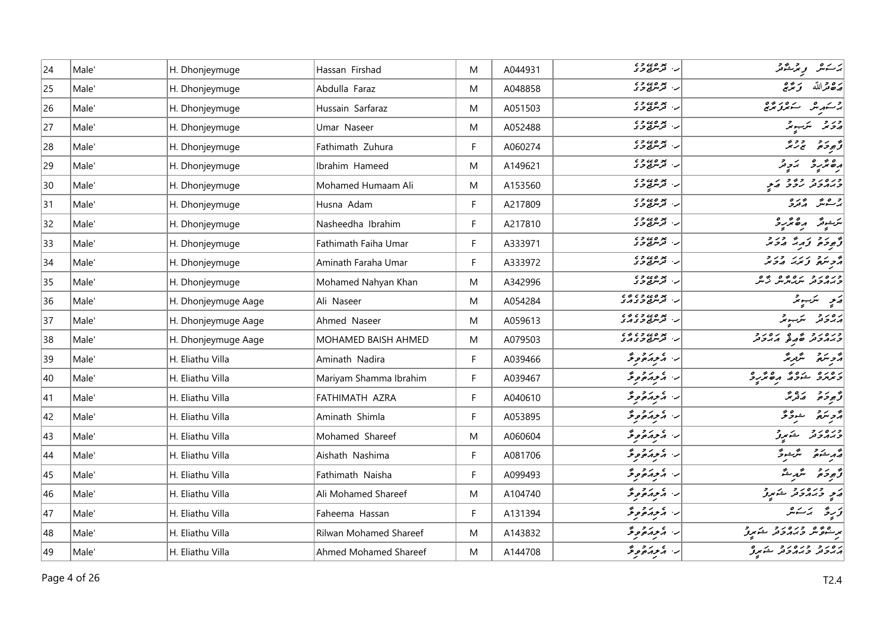| 24 | Male' | H. Dhonjeymuge      | Hassan Firshad         | M           | A044931 | ر . مو ه ده و د<br>ر . موسوع و د                 | يرسكس ويرتثقر                                       |
|----|-------|---------------------|------------------------|-------------|---------|--------------------------------------------------|-----------------------------------------------------|
| 25 | Male' | H. Dhonjeymuge      | Abdulla Faraz          | M           | A048858 | ر. مو وړه و و<br>ر. توسرچ و ی                    | أرَدْ وَتَرَاللّهُ وَتَمَرَّجْ                      |
| 26 | Male' | H. Dhonjeymuge      | Hussain Sarfaraz       | M           | A051503 | ر. مو وړه و و<br>ر. توسرچ و ی                    | چە سەمەھ سەئىرى ئىرى                                |
| 27 | Male' | H. Dhonjeymuge      | Umar Naseer            | M           | A052488 | ر به وه ده و د<br>ر کرس                          | وزوار الكرسولو                                      |
| 28 | Male' | H. Dhonjeymuge      | Fathimath Zuhura       | F           | A060274 | ر. مو وړه و و<br>ر. توسرچ و ی                    | و وده ودو                                           |
| 29 | Male' | H. Dhonjeymuge      | Ibrahim Hameed         | M           | A149621 | ر به وه ده و د<br>ر کرس                          | رەترىر تەرىر                                        |
| 30 | Male' | H. Dhonjeymuge      | Mohamed Humaam Ali     | M           | A153560 | ر. مو وړه و و<br>ر. توسرچ و ی                    |                                                     |
| 31 | Male' | H. Dhonjeymuge      | Husna Adam             | F           | A217809 | ر. مو وړه و و<br>ر. توسربح و ی                   | جراعا مرکز کرده                                     |
| 32 | Male' | H. Dhonjeymuge      | Nasheedha Ibrahim      | F           | A217810 | ر. مو وړه و و<br>ر. توسرچ و ی                    | بترسوشر مرە ترىر 3                                  |
| 33 | Male' | H. Dhonjeymuge      | Fathimath Faiha Umar   | F.          | A333971 |                                                  | وتجوحه ومرثه محاجر                                  |
| 34 | Male' | H. Dhonjeymuge      | Aminath Faraha Umar    | E           | A333972 | ر به وه ده و د<br>ر کرس                          | أزوسهم وتركه الأوراد                                |
| 35 | Male' | H. Dhonjeymuge      | Mohamed Nahyan Khan    | M           | A342996 | ر. مو وړه و و<br>ر. توسربح و ی                   | ورەرو رەپەە بەھ                                     |
| 36 | Male' | H. Dhonjeymuge Aage | Ali Naseer             | M           | A054284 | پر 2010ء و c 4 c<br>ر۰ قرمربع <del>c</del> 5 x x | أركمني الكرسية وتحر                                 |
| 37 | Male' | H. Dhonjeymuge Aage | Ahmed Naseer           | M           | A059613 | ر موه ده ده ده د<br>ر کرس بی حرو در              | أرەرو سكينومى                                       |
| 38 | Male' | H. Dhonjeymuge Aage | MOHAMED BAISH AHMED    | M           | A079503 | ید وی و ی و ی<br>ر۰ قرسرچ <i>و ی</i> و ی         | ورەرد بەرە رەرد                                     |
| 39 | Male' | H. Eliathu Villa    | Aminath Nadira         | F           | A039466 | ر بم دېموړيځو                                    | ثروينتي الثبريث                                     |
| 40 | Male' | H. Eliathu Villa    | Mariyam Shamma Ibrahim | F.          | A039467 | ر بمورځورځ                                       | נ סנים ניסיבים בינים                                |
| 41 | Male' | H. Eliathu Villa    | FATHIMATH AZRA         | F           | A040610 | ر بم دېموړيځو                                    | وتجوحكم المافريم                                    |
| 42 | Male' | H. Eliathu Villa    | Aminath Shimla         | F.          | A053895 | ر ، ئەمەير قومۇ                                  | أزويتم والموادق                                     |
| 43 | Male' | H. Eliathu Villa    | Mohamed Shareef        | M           | A060604 | ر بم دېموړيځو                                    | ورەرو شەرۇ                                          |
| 44 | Male' | H. Eliathu Villa    | Aishath Nashima        | $\mathsf F$ | A081706 | ر. مگر مرکز و گر                                 | أقهر مشكرة المتر تشريح                              |
| 45 | Male' | H. Eliathu Villa    | Fathimath Naisha       | F           | A099493 | ر. ئەمزىر ئەھ بۇ                                 | تؤودة شرشة                                          |
| 46 | Male' | H. Eliathu Villa    | Ali Mohamed Shareef    | M           | A104740 | ر. ئەمزىر ئەربۇ                                  | أرو وبرودو خيرو                                     |
| 47 | Male' | H. Eliathu Villa    | Faheema Hassan         | F.          | A131394 | ر ، م دېم موځو                                   | تۇرپى ئەسكىلى                                       |
| 48 | Male' | H. Eliathu Villa    | Rilwan Mohamed Shareef | M           | A143832 | ر ، ئەجەنىمۇمۇقر                                 | ە بەھ دىرەردە ھەمدى<br>مەسومەس <i>دى</i> رەرى ھەمدى |
| 49 | Male' | H. Eliathu Villa    | Ahmed Mohamed Shareef  | M           | A144708 | ر بم دېموړيځو څ                                  | رەرد درەرد شەرد                                     |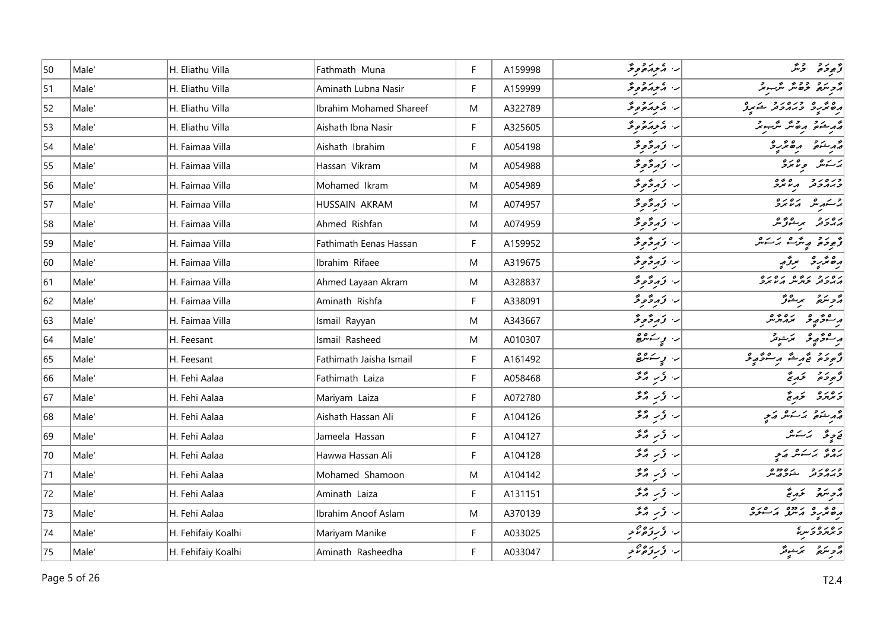| 50 | Male' | H. Eliathu Villa   | Fathmath Muna           | F           | A159998 | ر بم دېموړيځ     | توجوحو وتر                               |
|----|-------|--------------------|-------------------------|-------------|---------|------------------|------------------------------------------|
| 51 | Male' | H. Eliathu Villa   | Aminath Lubna Nasir     | F           | A159999 | ر ، ئەمەئەتمۇمۇق | أأرمهم ومحاسر المراجع                    |
| 52 | Male' | H. Eliathu Villa   | Ibrahim Mohamed Shareef | M           | A322789 | ر ، ئەجەنىمۇمۇقر | رەپرىو دىرەرد خىرو                       |
| 53 | Male' | H. Eliathu Villa   | Aishath Ibna Nasir      | F           | A325605 | ر بم دېموگو د    | הו לכל הסית יתהו                         |
| 54 | Male' | H. Faimaa Villa    | Aishath Ibrahim         | F           | A054198 | ر . ۇرۇپۇ        | ومشوقه موهنه                             |
| 55 | Male' | H. Faimaa Villa    | Hassan Vikram           | M           | A054988 | ر . ۇرۇپۇ        | يركبش ولاتره                             |
| 56 | Male' | H. Faimaa Villa    | Mohamed Ikram           | M           | A054989 | ر . ۇرۇپۇ        | כמחכת העיתכ                              |
| 57 | Male' | H. Faimaa Villa    | HUSSAIN AKRAM           | ${\sf M}$   | A074957 | ر . ۇرۇپۇ        | جرسكور مره برده                          |
| 58 | Male' | H. Faimaa Villa    | Ahmed Rishfan           | ${\sf M}$   | A074959 | ر . ۇرۇپۇ        | رەرد برىشۇش                              |
| 59 | Male' | H. Faimaa Villa    | Fathimath Eenas Hassan  | F           | A159952 | ر . ئەردۇرى      | قەدە پەئزىش ئەسەند                       |
| 60 | Male' | H. Faimaa Villa    | Ibrahim Rifaee          | M           | A319675 | ر زَرِدَّ دِدَّ  | رەتمەد برق                               |
| 61 | Male' | H. Faimaa Villa    | Ahmed Layaan Akram      | M           | A328837 | ر وَرِوَّہِ وَ   |                                          |
| 62 | Male' | H. Faimaa Villa    | Aminath Rishfa          | $\mathsf F$ | A338091 | ر زَرِدَّ وِدَّ  | أأزجر سكرة المرسشوقر                     |
| 63 | Male' | H. Faimaa Villa    | Ismail Rayyan           | ${\sf M}$   | A343667 | ر . ۇرۇپۇ        | ر عۇر ئەر ئىر                            |
| 64 | Male' | H. Feesant         | Ismail Rasheed          | ${\sf M}$   | A010307 | ر. وپەشھ         | أرسادة ويحر المرشوش                      |
| 65 | Male' | H. Feesant         | Fathimath Jaisha Ismail | F           | A161492 | ر. پرسکوچ        | توجوجو فيريش ريحور                       |
| 66 | Male' | H. Fehi Aalaa      | Fathimath Laiza         | $\mathsf F$ | A058468 | ر، ۋر دچم        | وَّجْوَحَهُ خَهْرِ مَ                    |
| 67 | Male' | H. Fehi Aalaa      | Mariyam Laiza           | F           | A072780 | ر. دی چم         | دەرە ئەرى                                |
| 68 | Male' | H. Fehi Aalaa      | Aishath Hassan Ali      | F           | A104126 | ر، ذرِ پُرُ      | ەر ئەڭ ئەسەھ كەي                         |
| 69 | Male' | H. Fehi Aalaa      | Jameela Hassan          | $\mathsf F$ | A104127 | ر، ذرِ دُبْر     | ۇرچۇ ئەسكىر                              |
| 70 | Male' | H. Fehi Aalaa      | Hawwa Hassan Ali        | F           | A104128 | ر، ۋر چۇ         |                                          |
| 71 | Male' | H. Fehi Aalaa      | Mohamed Shamoon         | M           | A104142 | ر، ۋر چۇ         | شەھ جەشر<br>و ره د د<br>تر پر ژنر        |
| 72 | Male' | H. Fehi Aalaa      | Aminath Laiza           | F           | A131151 | ر، ڈرِ 2ً2       | أزوينهم خدبج                             |
| 73 | Male' | H. Fehi Aalaa      | Ibrahim Anoof Aslam     | M           | A370139 | ر، ڈر 23         | رە ئەرە بەرە بەرە                        |
| 74 | Male' | H. Fehifaiy Koalhi | Mariyam Manike          | F           | A033025 | ر كۆرۈڭ ھەتكىر   | ر <i>صده د</i><br> تر <i>پر پر چون</i> د |
| 75 | Male' | H. Fehifaiy Koalhi | Aminath Rasheedha       | F           | A033047 | ر بۇرۇۋرىمىز     | أأروبتهم بمنفوض                          |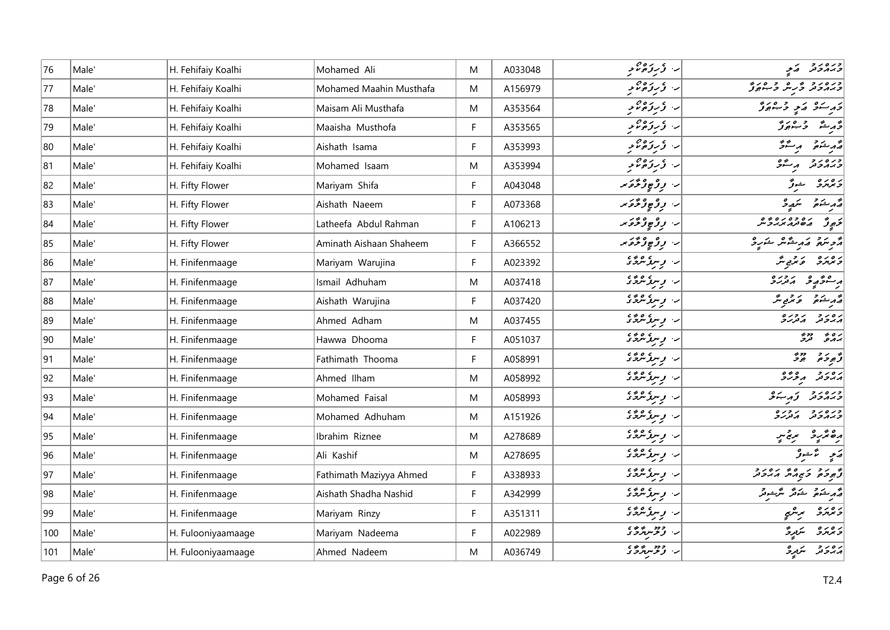| 76  | Male' | H. Fehifaiy Koalhi | Mohamed Ali             | M         | A033048 | ر. ۇرۇۋەتئىر             | ورەرو كەير                              |
|-----|-------|--------------------|-------------------------|-----------|---------|--------------------------|-----------------------------------------|
| 77  | Male' | H. Fehifaiy Koalhi | Mohamed Maahin Musthafa | M         | A156979 | ر. ۇرۇۋەتئىر             | ورەر دەر ئەرەر دەرد                     |
| 78  | Male' | H. Fehifaiy Koalhi | Maisam Ali Musthafa     | M         | A353564 | <sub>س</sub> و پره په په | ورسوه وي وجود                           |
| 79  | Male' | H. Fehifaiy Koalhi | Maaisha Musthofa        | F         | A353565 | ر. ۇرۇۋرىم               | أؤرش وبنور                              |
| 80  | Male' | H. Fehifaiy Koalhi | Aishath Isama           | F         | A353993 | ر بۇرۇۋەتلۈ              | ومرشوم برسكوم                           |
| 81  | Male' | H. Fehifaiy Koalhi | Mohamed Isaam           | M         | A353994 | ر . ۇرۇۋەتلۈ             | ورەرو مەدە                              |
| 82  | Male' | H. Fifty Flower    | Mariyam Shifa           | F         | A043048 | ر . وِرْعٍرْ دُّوَىد     | ر ه ر ه<br><del>ر</del> بربر ژ<br>شدوگر |
| 83  | Male' | H. Fifty Flower    | Aishath Naeem           | F         | A073368 | ر . و ژېچو ژڅو پر        | أقهر خنقى التمدير                       |
| 84  | Male' | H. Fifty Flower    | Latheefa Abdul Rahman   | F         | A106213 | ر. وژھٍوُدُوَمَد         | ر و ده ده ده وه و                       |
| 85  | Male' | H. Fifty Flower    | Aminath Aishaan Shaheem | F         | A366552 | ~ وِرْحٍوْدُوَمَه        | أأدخره أأراء المستورية                  |
| 86  | Male' | H. Finifenmaage    | Mariyam Warujina        | F         | A023392 | ر. ویبرڈ عرمی            | و ده ده در در پر ش                      |
| 87  | Male' | H. Finifenmaage    | Ismail Adhuham          | ${\sf M}$ | A037418 | ر. ومرؤ مردّة            | وسترقيط أتتررد                          |
| 88  | Male' | H. Finifenmaage    | Aishath Warujina        | F         | A037420 | ر. ومرو معدّة            | أە مەستىقى ئىم ئىسى ئىگر                |
| 89  | Male' | H. Finifenmaage    | Ahmed Adham             | M         | A037455 | ر. و سرو مرد و           |                                         |
| 90  | Male' | H. Finifenmaage    | Hawwa Dhooma            | F         | A051037 | ر وېروموده               | ره په دوم<br>بروگ ترو                   |
| 91  | Male' | H. Finifenmaage    | Fathimath Thooma        | F         | A058991 | ر. ومروء مع              | توجوجو ودي                              |
| 92  | Male' | H. Finifenmaage    | Ahmed Ilham             | M         | A058992 | ر. ويترو مردم            | رەرد رەپەە                              |
| 93  | Male' | H. Finifenmaage    | Mohamed Faisal          | M         | A058993 | ر. و سرگرمرگرمی          | ورەرو زەبىر                             |
| 94  | Male' | H. Finifenmaage    | Mohamed Adhuham         | M         | A151926 | ر. و سرگرمرگرمی          | כנסנכ נבנס<br>כגמכת הבנ <i>ב</i> כ      |
| 95  | Male' | H. Finifenmaage    | Ibrahim Riznee          | M         | A278689 | ر. وسرو مردم             | رەشرە بىر بىر                           |
| 96  | Male' | H. Finifenmaage    | Ali Kashif              | M         | A278695 | ر. ومرؤ عدد ع            | ەكىمى ئۇھوق                             |
| 97  | Male' | H. Finifenmaage    | Fathimath Maziyya Ahmed | F         | A338933 | ر. وسرگرمرگرم            | ר הלב באת היו בית                       |
| 98  | Male' | H. Finifenmaage    | Aishath Shadha Nashid   | F         | A342999 |                          | أوه مشكاة الشافر المرشوقر               |
| 99  | Male' | H. Finifenmaage    | Mariyam Rinzy           | F         | A351311 | ر. وسرو مرد و            | د ورو مرشي                              |
| 100 | Male' | H. Fulooniyaamaage | Mariyam Nadeema         | F         | A022989 | ر. ودو پروه پ            | ر ه بر ه<br><del>د</del> بربرگ          |
| 101 | Male' | H. Fulooniyaamaage | Ahmed Nadeem            | ${\sf M}$ | A036749 | ה בבתודו בי              | دەر د سرگرو                             |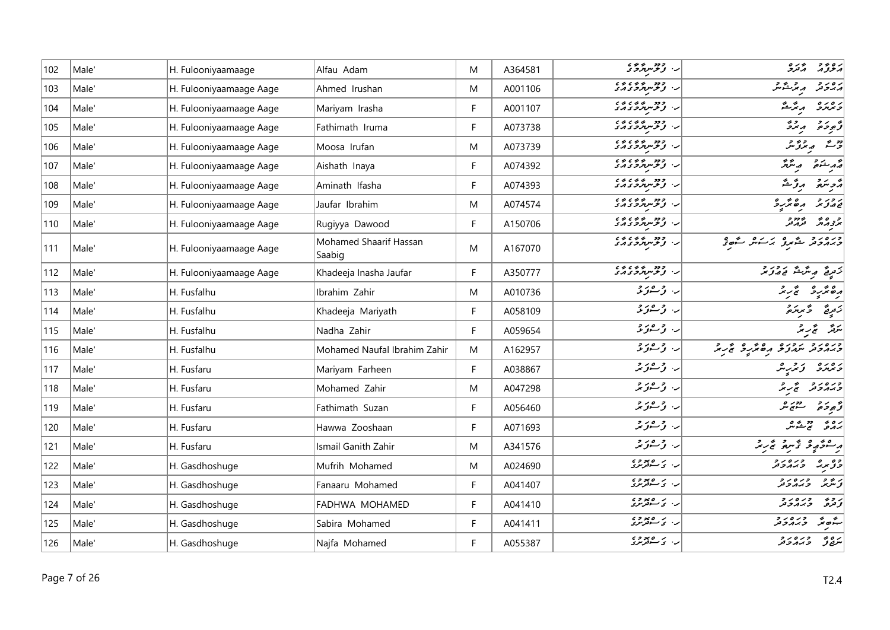| 102 | Male' | H. Fulooniyaamaage      | Alfau Adam                       | M           | A364581 | ر . وو .<br>ر . و توسرو د .                     | پور ہ<br>مرکز ژ<br>پروژپر                         |
|-----|-------|-------------------------|----------------------------------|-------------|---------|-------------------------------------------------|---------------------------------------------------|
| 103 | Male' | H. Fulooniyaamaage Aage | Ahmed Irushan                    | M           | A001106 | د دو دو دی.<br>ر۰ ژنژس ژنگردی                   | ەر بىر ئەيھەتر<br>پرور و                          |
| 104 | Male' | H. Fulooniyaamaage Aage | Mariyam Irasha                   | F           | A001107 | د دوم پرورو ده<br>ر۰ <b>زن</b> رس <i>د</i> ی در | برىژىنتە<br>  ئە ئەرە                             |
| 105 | Male' | H. Fulooniyaamaage Aage | Fathimath Iruma                  | F           | A073738 | د دو دوره وه ده.<br>ر۰ <b>زن</b> ومبرگرد ک      | توموقع مبرقم                                      |
| 106 | Male' | H. Fulooniyaamaage Aage | Moosa Irufan                     | M           | A073739 | ر. ووړ پرونو د ده.<br>د او <b>و</b> سرو د در    | رسم پروتر                                         |
| 107 | Male' | H. Fulooniyaamaage Aage | Aishath Inaya                    | F           | A074392 | ر. دوسرپروژور                                   | مەر شىمى مەسىر                                    |
| 108 | Male' | H. Fulooniyaamaage Aage | Aminath Ifasha                   | F           | A074393 | ر. 32° مرگر گرون<br>در از محر مرگر گروند ک      | أرمز ترة<br>ە بەرتىگە                             |
| 109 | Male' | H. Fulooniyaamaage Aage | Jaufar Ibrahim                   | M           | A074574 | ر دور پروه ده<br>ر۰ ژنومبرگرگروی                | ە ھەترىر 3<br>ر ور و<br>ق <i>ے هر ق</i> ریمر      |
| 110 | Male' | H. Fulooniyaamaage Aage | Rugiyya Dawood                   | F           | A150706 | ر. ووسر و و ، و ،                               | و و م مودود<br>مرتوم مرکز ترمر                    |
| 111 | Male' | H. Fulooniyaamaage Aage | Mohamed Shaarif Hassan<br>Saabig | M           | A167070 | د دو دو دی د پا<br>ر۰ <b>زن</b> ومبرگری دی      | ورەرو ئۇيرۇ برىكى ئوق                             |
| 112 | Male' | H. Fulooniyaamaage Aage | Khadeeja Inasha Jaufar           | F           | A350777 | ر دو دروه ده                                    | تزمرة ويترجم ودورد                                |
| 113 | Male' | H. Fusfalhu             | Ibrahim Zahir                    | M           | A010736 | ر. ۋىشۇ تە                                      |                                                   |
| 114 | Male' | H. Fusfalhu             | Khadeeja Mariyath                | F           | A058109 | ر. ۋىسۇر                                        | ئرَىمٍدٍ<br>س<br>وحميراتهم                        |
| 115 | Male' | H. Fusfalhu             | Nadha Zahir                      | F           | A059654 | ر. ۋىشۇرۇ                                       | بىر تەرىپى                                        |
| 116 | Male' | H. Fusfalhu             | Mohamed Naufal Ibrahim Zahir     | M           | A162957 | ر. ۋىسۇر                                        | בנסגב גבנים הסתיב הית                             |
| 117 | Male' | H. Fusfaru              | Mariyam Farheen                  | F           | A038867 | ر. ۇشۇرگە                                       | رەرە يەربىر                                       |
| 118 | Male' | H. Fusfaru              | Mohamed Zahir                    | M           | A047298 | ر. ۇشۇرگە                                       | ورەر دېر پر                                       |
| 119 | Male' | H. Fusfaru              | Fathimath Suzan                  | $\mathsf F$ | A056460 | ر. ۇشۇرگە                                       | جوبر چر<br>و مر د<br>تر مور می                    |
| 120 | Male' | H. Fusfaru              | Hawwa Zooshaan                   | F           | A071693 | ر. ۇشۇرچ                                        | بره به معنی محمد محمد                             |
| 121 | Male' | H. Fusfaru              | Ismail Ganith Zahir              | M           | A341576 | ر. ۇشۇرگە                                       | وبحوثمو ومجموع مجربر                              |
| 122 | Male' | H. Gasdhoshuge          | Mufrih Mohamed                   | M           | A024690 | ر کے مسکونوی کے                                 | و ر ه ر و<br>تر پروتر<br>د ه ور<br>ح نو بر بر     |
| 123 | Male' | H. Gasdhoshuge          | Fanaaru Mohamed                  | F           | A041407 | ر - ر صوبو د د<br>ر - کارسوری                   | ۇ ئىرىر<br>و ره ر و<br><i>د ب</i> رگرفر           |
| 124 | Male' | H. Gasdhoshuge          | FADHWA MOHAMED                   | F           | A041410 | ر. ک <sup>ے م</sup> صر <i>بوی</i>               | ر و بر<br>تو تعرض<br>و ره ر و<br><i>د ب</i> رگرفر |
| 125 | Male' | H. Gasdhoshuge          | Sabira Mohamed                   | F           | A041411 | ر. کار شود و ه                                  | سەھ ئە<br>و ره ر و<br>تر پر تر تر                 |
| 126 | Male' | H. Gasdhoshuge          | Najfa Mohamed                    | F           | A055387 | ر. کر صور و ه<br>ر. کا مستقرمزی                 | ىرە بۇ<br>و ره ر د<br><i>د ب</i> رگرفر            |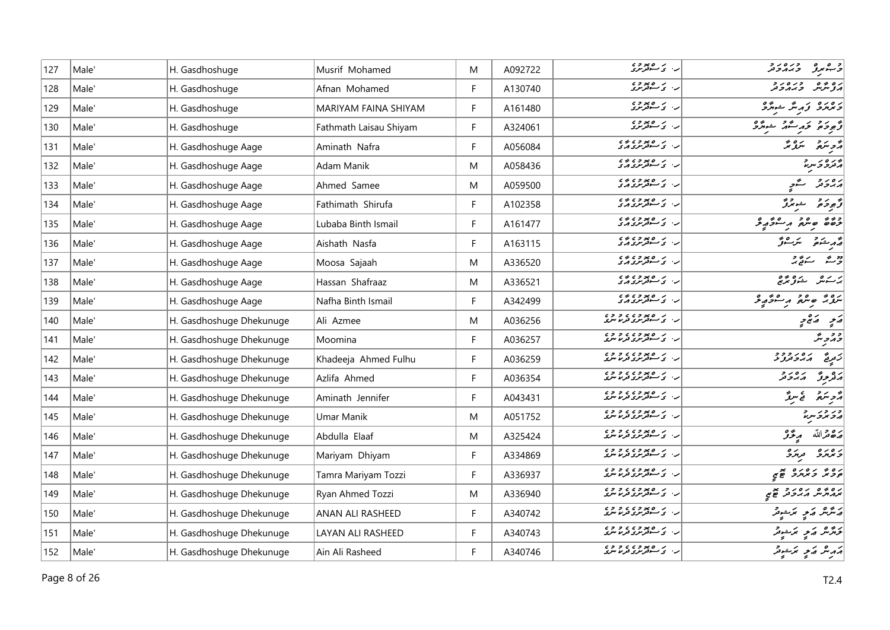| 127 | Male' | H. Gasdhoshuge           | Musrif Mohamed         | M  | A092722 | ر کا کامیو و <sup>ج</sup> ا                              | وره ر د<br><i>د ب</i> رگرفر<br><mark>خ سەبىرى</mark> |
|-----|-------|--------------------------|------------------------|----|---------|----------------------------------------------------------|------------------------------------------------------|
| 128 | Male' | H. Gasdhoshuge           | Afnan Mohamed          | F  | A130740 | ر. کار شکوروی                                            | ره شهر در در د<br>مرز شر در در در                    |
| 129 | Male' | H. Gasdhoshuge           | MARIYAM FAINA SHIYAM   | F  | A161480 | ر. ک <sup>ر</sup> مستخدم و <sup>ج</sup>                  | د وړه زړیځر شرگرد                                    |
| 130 | Male' | H. Gasdhoshuge           | Fathmath Laisau Shiyam | F  | A324061 | ر. کر صور و ء<br>ر. کا مسئولوی                           | وٌجودَةٌ وَرَسَّهُۥ ۡ شِيرُوْ                        |
| 131 | Male' | H. Gasdhoshuge Aage      | Aminath Nafra          | F  | A056084 | ر کرے پروہ دی۔<br>ر کے سعو <i>ر دو</i> دی                | دٌ د سَرِ د صَمَّرٌ سَمَّ                            |
| 132 | Male' | H. Gasdhoshuge Aage      | Adam Manik             | M  | A058436 | ر د ه پوه و ه و و<br>ر۰ کاستوفرمزی اړی                   | پر دے درج<br>پر تر تر تر س                           |
| 133 | Male' | H. Gasdhoshuge Aage      | Ahmed Samee            | M  | A059500 | ر سر و د و د و د و<br>ر ب کی سنده مرکز ایر ی             | پرچ ور حر<br>رحجمج                                   |
| 134 | Male' | H. Gasdhoshuge Aage      | Fathimath Shirufa      | F  | A102358 | ر د صغر و د بر د<br>ر د که سعور در د د                   | توجوجو الشوجرة                                       |
| 135 | Male' | H. Gasdhoshuge Aage      | Lubaba Binth Ismail    | F  | A161477 | ر کر ه پروه ده د<br>ر کار سوتر در در د                   | دە ئەھمەد بەللەر                                     |
| 136 | Male' | H. Gasdhoshuge Aage      | Aishath Nasfa          | F  | A163115 | ر کر ه پروه ده د<br>ر کار سوتر در در د                   | أقرم شوه سرعو                                        |
| 137 | Male' | H. Gasdhoshuge Aage      | Moosa Sajaah           | M  | A336520 | ر د صغیر و د بر د<br>ر د که سعفر مر <sub>کب</sub> ه ک    | دوم شود                                              |
| 138 | Male' | H. Gasdhoshuge Aage      | Hassan Shafraaz        | M  | A336521 | ر کر ه مو و د نو د<br>ر کار سوفر مرۍ لري                 | ىز سەش ھۆرگەمچ                                       |
| 139 | Male' | H. Gasdhoshuge Aage      | Nafha Binth Ismail     | F  | A342499 | ر د صعود و د بر د<br>ر د که سعود در د او                 | بتروثه ومثنى وبالحرموثر                              |
| 140 | Male' | H. Gasdhoshuge Dhekunuge | Ali Azmee              | M  | A036256 | ر د ه مو و د و و د و د<br>ر د که ستوربرو توبع سرو        | أتكتح أتكاحي                                         |
| 141 | Male' | H. Gasdhoshuge Dhekunuge | Moomina                | F. | A036257 | ر د ه د و د د و د و د<br>ر د کاستورنری توما سری          | ودويتر                                               |
| 142 | Male' | H. Gasdhoshuge Dhekunuge | Khadeeja Ahmed Fulhu   | F  | A036259 | ر به ره مود و د و و د<br>ر به کار سوتوبوری توبا سوی      | نزىرقى<br>ر ه ر و و و<br>پر ژونونو تر                |
| 143 | Male' | H. Gasdhoshuge Dhekunuge | Azlifa Ahmed           | F  | A036354 | ر در ه مورو د د و د و د<br>ر د که ستوربری توما سری       | ەرەر<br>برۋېرۇ                                       |
| 144 | Male' | H. Gasdhoshuge Dhekunuge | Aminath Jennifer       | F  | A043431 | ر به ره مود و د و و د<br>ر به کارسوری توما سری           | أأدجن والمستمر                                       |
| 145 | Male' | H. Gasdhoshuge Dhekunuge | Umar Manik             | M  | A051752 | ر ره پووه د و و د<br>ر۰ کاستوگرمری توما سری              | כן כן<br>נג'ב מקט                                    |
| 146 | Male' | H. Gasdhoshuge Dhekunuge | Abdulla Elaaf          | M  | A325424 | ر د ه مود د د و د و د<br>ر د کارستوتر در ترما سری        | صصرالله<br>ەر بۇر                                    |
| 147 | Male' | H. Gasdhoshuge Dhekunuge | Mariyam Dhiyam         | F  | A334869 | ر د ه مود د د و د و د<br>ر د کارستوتر در ترما سری        | נים נים ניתר.<br>בי <i>נית</i> ר ניתר                |
| 148 | Male' | H. Gasdhoshuge Dhekunuge | Tamra Mariyam Tozzi    | F. | A336937 | ر به ره مود و د و و و و و<br>ر به ای کست فرمزی فرما مبری | ره پر دره مو<br>دومر ترمزدتر ځم                      |
| 149 | Male' | H. Gasdhoshuge Dhekunuge | Ryan Ahmed Tozzi       | M  | A336940 | ر به ره پووه و و و و و<br>ر به نخه سوتورو توما سوی       | رە دە رەرد بر<br>برازشر اربر دىر ھ                   |
| 150 | Male' | H. Gasdhoshuge Dhekunuge | ANAN ALI RASHEED       | F  | A340742 | ر د ه مو و د و و و و و<br>ر د کارسور و توما سربی         |                                                      |
| 151 | Male' | H. Gasdhoshuge Dhekunuge | LAYAN ALI RASHEED      | F  | A340743 | ر به ره مود و د و و و و و<br>ر به ای کست فرمری فرما منزی | ترور<br>افرانژند <sub>م</sub> رکب انگرامی            |
| 152 | Male' | H. Gasdhoshuge Dhekunuge | Ain Ali Rasheed        | F. | A340746 | ر د ه مود د د و د و د<br>ر د کارستوتر در ترما سری        | كمركز كالمج الكرجوقر                                 |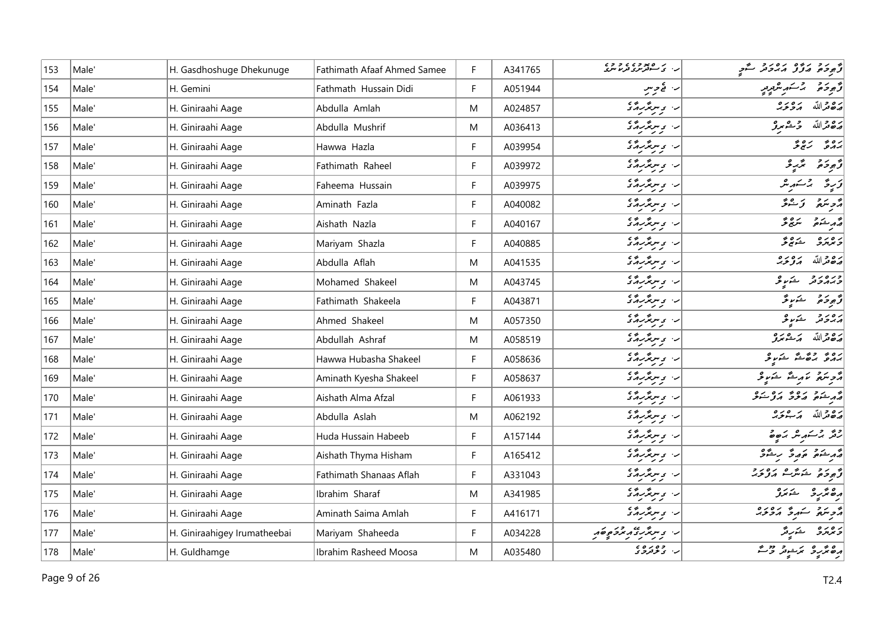| 153 | Male' | H. Gasdhoshuge Dhekunuge     | <b>Fathimath Afaaf Ahmed Samee</b> | F  | A341765 | ر ده موده ده د ده.<br>ر۰ کاستو <i>نوری توما</i> سوی | و دو روو رورو گړې                        |
|-----|-------|------------------------------|------------------------------------|----|---------|-----------------------------------------------------|------------------------------------------|
| 154 | Male' | H. Gemini                    | Fathmath Hussain Didi              | F  | A051944 | ر آھي.<br>پاڪستان ڪيا                               | ق دو چې شور شوږمړ                        |
| 155 | Male' | H. Giniraahi Aage            | Abdulla Amlah                      | M  | A024857 | ر. پرسرگروی                                         | پروژه<br>  پر <b>ھ تر</b> اللّٰہ         |
| 156 | Male' | H. Giniraahi Aage            | Abdulla Mushrif                    | M  | A036413 | ر، پرسر پر پر پر                                    | ەھىراللە<br>ح شەير <i>ۋ</i>              |
| 157 | Male' | H. Giniraahi Aage            | Hawwa Hazla                        | F  | A039954 | ر. په سرچر پرچ                                      | رەپ رەپچ                                 |
| 158 | Male' | H. Giniraahi Aage            | Fathimath Raheel                   | F  | A039972 | ر، پرسرگرومی                                        | ۇيودۇ ئېرىۋ                              |
| 159 | Male' | H. Giniraahi Aage            | Faheema Hussain                    | F  | A039975 | ر و سرپورگرو و<br>- --                              | أَوْرِدُّ بِرْسَمْدِيْر                  |
| 160 | Male' | H. Giniraahi Aage            | Aminath Fazla                      | F  | A040082 | ر، پرسرچريږي                                        | ە ئەر ئەر ئەنگە                          |
| 161 | Male' | H. Giniraahi Aage            | Aishath Nazla                      | F  | A040167 | ر، پرسرتروژی                                        | سرە ئۇ<br>ۇ مەشقە <i>ھ</i>               |
| 162 | Male' | H. Giniraahi Aage            | Mariyam Shazla                     | F. | A040885 | ر ، پرسرچرېږي                                       | ر ه ر ه<br><del>ر</del> بربرگ<br>ے ج گر  |
| 163 | Male' | H. Giniraahi Aage            | Abdulla Aflah                      | M  | A041535 | ر ، پرسرچروچ                                        | برە تراللە<br>بروتره                     |
| 164 | Male' | H. Giniraahi Aage            | Mohamed Shakeel                    | M  | A043745 | ر، <sub>ئە</sub> سرىگرىدى<br>مەسرىلىر               | ورەرو خىرو                               |
| 165 | Male' | H. Giniraahi Aage            | Fathimath Shakeela                 | F  | A043871 | ر. په سرچر چې                                       | و مرد<br>اقرام در م<br>شەر ئۇ            |
| 166 | Male' | H. Giniraahi Aage            | Ahmed Shakeel                      | M  | A057350 | ر. په سرچر دي                                       | پرورو شروع                               |
| 167 | Male' | H. Giniraahi Aage            | Abdullah Ashraf                    | M  | A058519 | ر، پرسرگرومی                                        | رە قراللە كە <u>ش</u> ەتر <i>و</i>       |
| 168 | Male' | H. Giniraahi Aage            | Hawwa Hubasha Shakeel              | F  | A058636 | ر، پرسرگرمرگی                                       | رەپ رەشتە خىرو                           |
| 169 | Male' | H. Giniraahi Aage            | Aminath Kyesha Shakeel             | F. | A058637 | ر، پرسرگرمرگی                                       | أزويتم تتريث لمنوع                       |
| 170 | Male' | H. Giniraahi Aage            | Aishath Alma Afzal                 | F. | A061933 | ر، پرسرگرومی                                        | ه د شکوه او ده د د د ک                   |
| 171 | Male' | H. Giniraahi Aage            | Abdulla Aslah                      | M  | A062192 | ر، پرسرچروچ                                         | رە داللە كەسوم                           |
| 172 | Male' | H. Giniraahi Aage            | Huda Hussain Habeeb                | F  | A157144 | ر. په سرچر دي                                       | رتر بر کے مرکز مرکز م                    |
| 173 | Male' | H. Giniraahi Aage            | Aishath Thyma Hisham               | F  | A165412 | ر. په سرچر دي                                       | مەر شىم كەرگە رىشگ                       |
| 174 | Male' | H. Giniraahi Aage            | Fathimath Shanaas Aflah            | F  | A331043 | ر کے سرپورگر کالج<br>シンジ                            | ۇي دە بەشرىق ئەۋىرە                      |
| 175 | Male' | H. Giniraahi Aage            | Ibrahim Sharaf                     | M  | A341985 | ر و سرپور پر د<br>- --                              | أرە ئۆرە ھەترى                           |
| 176 | Male' | H. Giniraahi Aage            | Aminath Saima Amlah                | F  | A416171 | ر. پرسرگروی<br>سیستمبر                              | أأوسكم كسرة أروده                        |
| 177 | Male' | H. Giniraahigey Irumatheebai | Mariyam Shaheeda                   | F. | A034228 |                                                     | ر ه پر ه<br>تر <i>بر</i> بر<br>ے کے رنگر |
| 178 | Male' | H. Guldhamge                 | Ibrahim Rasheed Moosa              | M  | A035480 | ر . و <i>و د ه ء</i><br>ر . و توترو و               | أرەپر پر پر دولت دىن                     |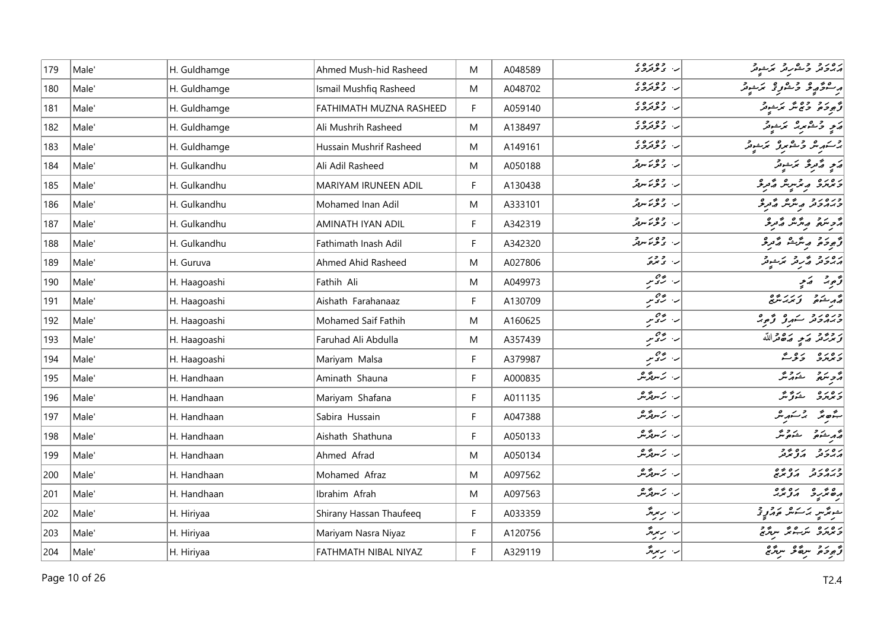| 179 | Male' | H. Guldhamge | Ahmed Mush-hid Rasheed   | M         | A048589 | ر . وه ره ،<br>ر . و وترو د                        | ره ر و و و رو برخونه<br>  پربرونه و مشررته برخونه                                                                                                                                                                                 |
|-----|-------|--------------|--------------------------|-----------|---------|----------------------------------------------------|-----------------------------------------------------------------------------------------------------------------------------------------------------------------------------------------------------------------------------------|
| 180 | Male' | H. Guldhamge | Ismail Mushfiq Rasheed   | M         | A048702 | ر . وه ره ،<br>ر . و <del>و</del> ترو <sub>ک</sub> | أرجع ويؤد وحوري برجونر                                                                                                                                                                                                            |
| 181 | Male' | H. Guldhamge | FATHIMATH MUZNA RASHEED  | F.        | A059140 | ر وه ره د<br>ر کوتروی                              | محمود وه شهر مرشوند<br>توجود و د شهر مرشوند                                                                                                                                                                                       |
| 182 | Male' | H. Guldhamge | Ali Mushrih Rasheed      | M         | A138497 | ر . وه ره ،<br>ر . و وترو د                        | أأوالمح والمحمد المحمد المحمد                                                                                                                                                                                                     |
| 183 | Male' | H. Guldhamge | Hussain Mushrif Rasheed  | M         | A149161 | ر وه ره د<br>ر کوتروی                              | ج سکور کار دیگر دیگر میکند در این میکند که به این میکند که این کار در این میکند که به این کار در این کار در این<br>میکند که به این کار کار در این کار در این کار که به این کار که به این کار که به این کار که به این کار کرد که ا |
| 184 | Male' | H. Gulkandhu | Ali Adil Rasheed         | M         | A050188 |                                                    | أە ئو ھەر ئىمىشىق                                                                                                                                                                                                                 |
| 185 | Male' | H. Gulkandhu | MARIYAM IRUNEEN ADIL     | F         | A130438 |                                                    | وبرود وبرسر ومرو                                                                                                                                                                                                                  |
| 186 | Male' | H. Gulkandhu | Mohamed Inan Adil        | ${\sf M}$ | A333101 | ر. گەنۇما ئىرلىر                                   | ورەرو مەشھە مەربى                                                                                                                                                                                                                 |
| 187 | Male' | H. Gulkandhu | <b>AMINATH IYAN ADIL</b> | F         | A342319 | ر کا نام دیگر کا مرفک                              | أأدبتهم والرمر وأفرقه                                                                                                                                                                                                             |
| 188 | Male' | H. Gulkandhu | Fathimath Inash Adil     | F         | A342320 | ر کمونو و در د                                     | وتجوخا والثراث وترفر                                                                                                                                                                                                              |
| 189 | Male' | H. Guruva    | Ahmed Ahid Rasheed       | M         | A027806 | ر                                                  | أرود و المرار المستور                                                                                                                                                                                                             |
| 190 | Male' | H. Haagoashi | Fathih Ali               | M         | A049973 | ر. رژه بر                                          | قرمورج وكمني                                                                                                                                                                                                                      |
| 191 | Male' | H. Haagoashi | Aishath Farahanaaz       | F         | A130709 | ر. رژه بر                                          | وكالمشارح والمركز للرجيح                                                                                                                                                                                                          |
| 192 | Male' | H. Haagoashi | Mohamed Saif Fathih      | M         | A160625 | ر. رژه بر                                          | ورورو سرو ژور                                                                                                                                                                                                                     |
| 193 | Male' | H. Haagoashi | Faruhad Ali Abdulla      | M         | A357439 | ر. رژه بر                                          | تر ويحرقه وسيح وكانفا الله                                                                                                                                                                                                        |
| 194 | Male' | H. Haagoashi | Mariyam Malsa            | F         | A379987 | ر. رچي بر                                          | رەرە رور                                                                                                                                                                                                                          |
| 195 | Male' | H. Handhaan  | Aminath Shauna           | F.        | A000835 | ر، كەسەرگەنگە                                      | أثر حرم الشور الثور الثور                                                                                                                                                                                                         |
| 196 | Male' | H. Handhaan  | Mariyam Shafana          | F         | A011135 | ر، كەسەرگەنگە                                      | رەرە شۇشگە                                                                                                                                                                                                                        |
| 197 | Male' | H. Handhaan  | Sabira Hussain           | F         | A047388 | ر. كەسەگەنگە                                       | بەھە ئەسكىدىك                                                                                                                                                                                                                     |
| 198 | Male' | H. Handhaan  | Aishath Shathuna         | F         | A050133 | ر، كەسەپەتل                                        | أمار منسوم وأستومتر                                                                                                                                                                                                               |
| 199 | Male' | H. Handhaan  | Ahmed Afrad              | M         | A050134 | ر، كەسەرگەنگە                                      | ره رو ده دو.<br>مدونر مۇمۇم                                                                                                                                                                                                       |
| 200 | Male' | H. Handhaan  | Mohamed Afraz            | M         | A097562 | ر، كەسەرگەر                                        | כנסנכ נסיפס<br>כגהכת הניבי                                                                                                                                                                                                        |
| 201 | Male' | H. Handhaan  | Ibrahim Afrah            | M         | A097563 | ر، كەسەرگەنگە                                      | مەھرىرو مۇمر                                                                                                                                                                                                                      |
| 202 | Male' | H. Hiriyaa   | Shirany Hassan Thaufeeq  | F         | A033359 | ر، ریزدگر                                          | هرمرس برسومر الرواح                                                                                                                                                                                                               |
| 203 | Male' | H. Hiriyaa   | Mariyam Nasra Niyaz      | F.        | A120756 |                                                    | ב מחל מאוד מאים                                                                                                                                                                                                                   |
| 204 | Male' | H. Hiriyaa   | FATHMATH NIBAL NIYAZ     | F         | A329119 | ر، ریزی                                            | أزودة سقر سروه                                                                                                                                                                                                                    |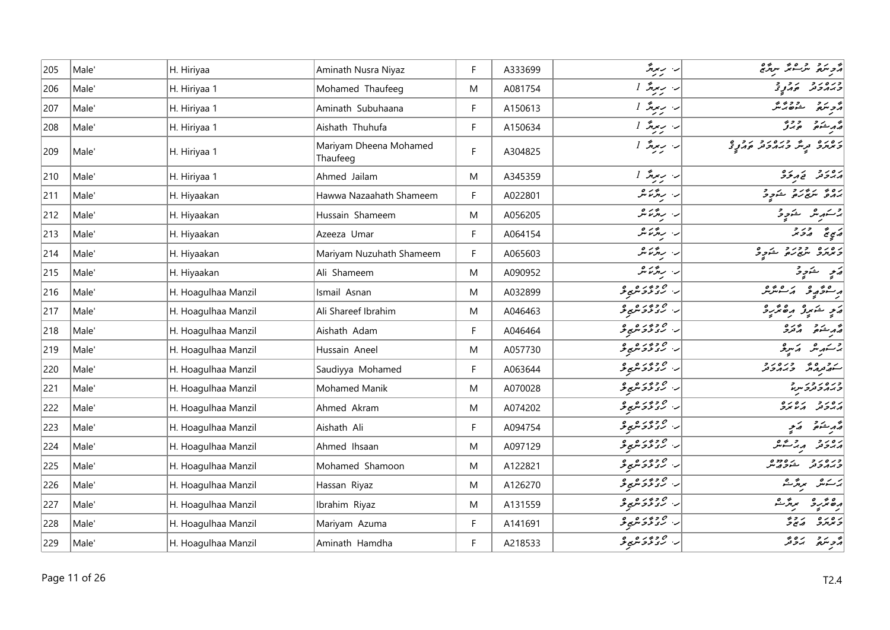| 205 | Male' | H. Hiriyaa          | Aminath Nusra Niyaz                | F         | A333699 | ر- ریودگ<br>- -               | أأروبتهم لترك بمراكبهم                                          |
|-----|-------|---------------------|------------------------------------|-----------|---------|-------------------------------|-----------------------------------------------------------------|
| 206 | Male' | H. Hiriyaa 1        | Mohamed Thaufeeg                   | ${\sf M}$ | A081754 | $\frac{1}{1}$                 | פנים ניבין בין<br>  פיניות ביני בין הבין בין                    |
| 207 | Male' | H. Hiriyaa 1        | Aminath Subuhaana                  | F         | A150613 | ر. ریروژ 1                    | شەھ بر شر<br>أثرجه يئرهمه                                       |
| 208 | Male' | H. Hiriyaa 1        | Aishath Thuhufa                    | F         | A150634 | ر. ریروژ 1                    | و دور<br>مگر شو ورو                                             |
| 209 | Male' | H. Hiriyaa 1        | Mariyam Dheena Mohamed<br>Thaufeeg | F         | A304825 | ر، ریروڈ 1                    | ر ه ر ه د سر د د د د د و په<br>د بربرد د سر د بربرد تر موبرني د |
| 210 | Male' | H. Hiriyaa 1        | Ahmed Jailam                       | ${\sf M}$ | A345359 | ر. ریروڈ 1                    | أرورو كالمتحاور                                                 |
| 211 | Male' | H. Hiyaakan         | Hawwa Nazaahath Shameem            | F         | A022801 | ر. رېژمانتر                   | رە ئەرەر ئەرگە                                                  |
| 212 | Male' | H. Hiyaakan         | Hussain Shameem                    | M         | A056205 | ر. رېژنا تر                   | 2سەر شەھ يەھ يە                                                 |
| 213 | Male' | H. Hiyaakan         | Azeeza Umar                        | F.        | A064154 | ر. رېژىدىگە                   | ړې پر در                                                        |
| 214 | Male' | H. Hiyaakan         | Mariyam Nuzuhath Shameem           | F         | A065603 | ر. رېژىدىش                    | رەرە دورو شركتور                                                |
| 215 | Male' | H. Hiyaakan         | Ali Shameem                        | M         | A090952 | ر. رېژنا تر                   | أركمني المشورة                                                  |
| 216 | Male' | H. Hoagulhaa Manzil | Ismail Asnan                       | M         | A032899 | ر. د د د د هم د               | ر قۇمۇ كەسىرتىر                                                 |
| 217 | Male' | H. Hoagulhaa Manzil | Ali Shareef Ibrahim                | M         | A046463 | ر. دې دې په و                 | ړې خوړو ره ټرېو                                                 |
| 218 | Male' | H. Hoagulhaa Manzil | Aishath Adam                       | F         | A046464 | ر. 2335ىرى بى                 | أحكم مشتمتى المرفرجى                                            |
| 219 | Male' | H. Hoagulhaa Manzil | Hussain Aneel                      | M         | A057730 | ر، گروپۇتر ھېچى               | 2سەرىئە كەبىرى                                                  |
| 220 | Male' | H. Hoagulhaa Manzil | Saudiyya Mohamed                   | F         | A063644 | ر. ژوژو شيو                   | המנגית בגםגב                                                    |
| 221 | Male' | H. Hoagulhaa Manzil | Mohamed Manik                      | M         | A070028 | ر. رووير و پو                 | כנסנכנק<br><i>כה</i> תכנק <i>ב</i> ית                           |
| 222 | Male' | H. Hoagulhaa Manzil | Ahmed Akram                        | M         | A074202 | ر. 2335مىي ۋ                  | גם גם גם גם<br>הגבת העיגב                                       |
| 223 | Male' | H. Hoagulhaa Manzil | Aishath Ali                        | F         | A094754 | ر، گۇۋۇم ھېۋ                  | أقار شكافه أتكمح                                                |
| 224 | Male' | H. Hoagulhaa Manzil | Ahmed Ihsaan                       | M         | A097129 | ر، ر <sub>گە</sub> دە بەرە بو | رەرد مەشكىر                                                     |
| 225 | Male' | H. Hoagulhaa Manzil | Mohamed Shamoon                    | ${\sf M}$ | A122821 | ر. 2335ىرى بى                 | شەھ جو ھ<br>و ر ه ر و<br><i>و پر</i> و تر                       |
| 226 | Male' | H. Hoagulhaa Manzil | Hassan Riyaz                       | M         | A126270 | ر، 3335مۇيى                   | ىر سەش ئىرەر شە                                                 |
| 227 | Male' | H. Hoagulhaa Manzil | Ibrahim Riyaz                      | ${\sf M}$ | A131559 | ر. روورو و و                  | ا پر ځانگړنې د<br>ىرەڭرىشە                                      |
| 228 | Male' | H. Hoagulhaa Manzil | Mariyam Azuma                      | F         | A141691 | ر. د د د د مربو د             | پر مرد ه<br>ەسىمى                                               |
| 229 | Male' | H. Hoagulhaa Manzil | Aminath Hamdha                     | F         | A218533 | - ج و و بر ه په و             | أأروسكم أأروائه                                                 |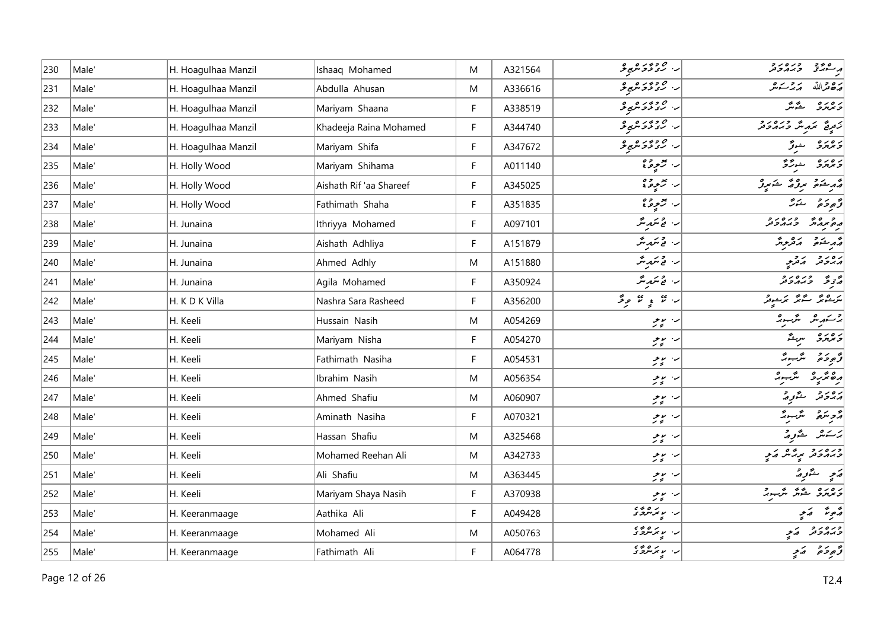| 230 | Male' | H. Hoagulhaa Manzil | Ishaaq Mohamed          | M  | A321564 | ر. 3335شي و                | و رە ر د<br>تر پروتر<br>ەر سەبرىتى                         |
|-----|-------|---------------------|-------------------------|----|---------|----------------------------|------------------------------------------------------------|
| 231 | Male' | H. Hoagulhaa Manzil | Abdulla Ahusan          | M  | A336616 | ر. د د د د مي د            | ەھىراللە                                                   |
| 232 | Male' | H. Hoagulhaa Manzil | Mariyam Shaana          | F. | A338519 | ر. د د د د همده د          | ر ه ر ه<br><del>ر</del> بربرگر<br>ىشترىتر                  |
| 233 | Male' | H. Hoagulhaa Manzil | Khadeeja Raina Mohamed  | F  | A344740 | ر. 2335ش پو                | تزرق بمرش وبرور و                                          |
| 234 | Male' | H. Hoagulhaa Manzil | Mariyam Shifa           | F  | A347672 | ر. 2335 سرچ و              | ر ه ر ه<br><del>ر</del> بربرگ<br>شەرگە                     |
| 235 | Male' | H. Holly Wood       | Mariyam Shihama         | F  | A011140 | ر، محموده                  | $\overline{\mathcal{Z}}$<br>ر ه ر ه<br><del>ر</del> بربرگر |
| 236 | Male' | H. Holly Wood       | Aishath Rif 'aa Shareef | F  | A345025 | ر، معروده<br>ر، معروده     | مەرشۇم برۇم شېر                                            |
| 237 | Male' | H. Holly Wood       | Fathimath Shaha         | F  | A351835 | ر، مجموع وه                | أوَّجْوَدَهُمْ شَيْرٌ                                      |
| 238 | Male' | H. Junaina          | Ithriyya Mohamed        | F  | A097101 | - قى ئىرىدىگە              | התממית בממכת                                               |
| 239 | Male' | H. Junaina          | Aishath Adhliya         | F  | A151879 | ر، قے سَمَدِ سَّرَ         | ومرشو وورو                                                 |
| 240 | Male' | H. Junaina          | Ahmed Adhly             | M  | A151880 | - قى ئىرىدىگە              | دەر د سروپو                                                |
| 241 | Male' | H. Junaina          | Agila Mohamed           | F  | A350924 | ر. قے سکر سگر              | د وره در د                                                 |
| 242 | Male' | H. K D K Villa      | Nashra Sara Rasheed     | F  | A356200 | را میں اور میں اس کی تحریک | ر مع کے شرکت مرشوقہ<br>سرشونٹر سونٹر مرشوقہ                |
| 243 | Male' | H. Keeli            | Hussain Nasih           | M  | A054269 | ر، موجو<br>ت               | يز سكر مثل التركيب ور                                      |
| 244 | Male' | H. Keeli            | Mariyam Nisha           | F  | A054270 | ر، ما مو<br>د              | ر ه بر ه<br><del>د</del> بربرگر<br>سرينگو                  |
| 245 | Male' | H. Keeli            | Fathimath Nasiha        | F  | A054531 | ر، بوبو<br>ن               | و څمو څه د<br>ىترىبىدىر                                    |
| 246 | Male' | H. Keeli            | Ibrahim Nasih           | M  | A056354 | ر، بوبو<br>مسيح            | ەرھەترىر <sup>ى</sup><br>ىئرىبەر                           |
| 247 | Male' | H. Keeli            | Ahmed Shafiu            | M  | A060907 | ر، بوبو<br>ن               | پروژ<br>ڪُور                                               |
| 248 | Male' | H. Keeli            | Aminath Nasiha          | F  | A070321 | ر، ما مو<br>پ              | متَرْسِيرَ<br>أرمز ترة                                     |
| 249 | Male' | H. Keeli            | Hassan Shafiu           | M  | A325468 | ر، موجو<br>ت               | پرستمبر مشورته                                             |
| 250 | Male' | H. Keeli            | Mohamed Reehan Ali      | M  | A342733 | ما مو                      | ورەرو بېرتىر كەب                                           |
| 251 | Male' | H. Keeli            | Ali Shafiu              | M  | A363445 | ر، ما مو<br>د              | أوسمج المستحرق                                             |
| 252 | Male' | H. Keeli            | Mariyam Shaya Nasih     | F  | A370938 | ر، بوبو<br>ن               | رەرە ئەگە ئرىبەر                                           |
| 253 | Male' | H. Keeranmaage      | Aathika Ali             | F  | A049428 | ر ، پاڼر پروژ              | ړې په نو                                                   |
| 254 | Male' | H. Keeranmaage      | Mohamed Ali             | M  | A050763 | ار. پاڼه پره دي            | ورەرو كې                                                   |
| 255 | Male' | H. Keeranmaage      | Fathimath Ali           | F. | A064778 | ار. بې ئەرەپىي             | وٌجودَ حَرِ                                                |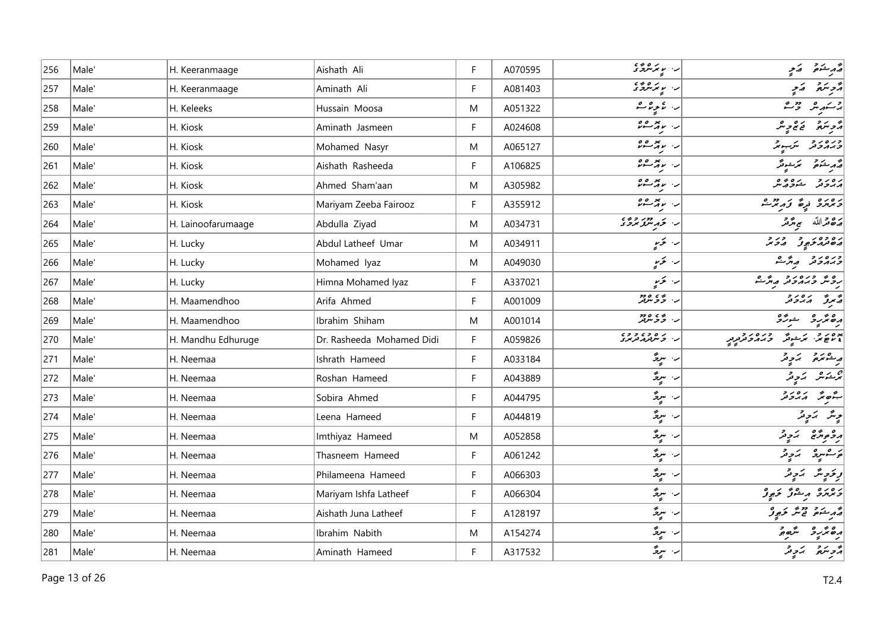| 256 | Male' | H. Keeranmaage     | Aishath Ali               | F           | A070595 | ل سي محمد عدد عدد ا                                                  | د مرکز دیگر<br>مسیر مشخصی<br>ەتىر   |
|-----|-------|--------------------|---------------------------|-------------|---------|----------------------------------------------------------------------|-------------------------------------|
| 257 | Male' | H. Keeranmaage     | Aminath Ali               | F           | A081403 | ر. پاندىرى                                                           | $rac{2}{3}$                         |
| 258 | Male' | H. Keleeks         | Hussain Moosa             | M           | A051322 | ر. غږم شه                                                            | جر مشهر والمحمد محمد المحمد         |
| 259 | Male' | H. Kiosk           | Aminath Jasmeen           | F           | A024608 | ر. بود مشر                                                           | أزويتم فيمحي                        |
| 260 | Male' | H. Kiosk           | Mohamed Nasyr             | M           | A065127 | $\overline{C}$                                                       | כנסק כ<br>כגובב ת-ידי               |
| 261 | Male' | H. Kiosk           | Aishath Rasheeda          | F           | A106825 | 22.7                                                                 | أقهر شوقر محمضوقر                   |
| 262 | Male' | H. Kiosk           | Ahmed Sham'aan            | M           | A305982 | ر. بدج مشرقا                                                         | رەرو رەم بەر<br>مەرىر شەرمەش        |
| 263 | Male' | H. Kiosk           | Mariyam Zeeba Fairooz     | F           | A355912 | $\stackrel{o}{\sim}$ $\stackrel{\sim}{\sim}$ $\stackrel{\sim}{\sim}$ | د ۱۳ د پرځ تر د لار                 |
| 264 | Male' | H. Lainoofarumaage | Abdulla Ziyad             | M           | A034731 | ر که پنگه ده با                                                      | أصك محتمرالله بمح وترفتر            |
| 265 | Male' | H. Lucky           | Abdul Latheef Umar        | M           | A034911 | ر کھیں<br>ح                                                          | גם כם גם כגב<br>גם מריקי ל          |
| 266 | Male' | H. Lucky           | Mohamed Iyaz              | M           | A049030 | اب کمی                                                               | ورەرو مەر                           |
| 267 | Male' | H. Lucky           | Himna Mohamed Iyaz        | F           | A337021 | اب کچھیے                                                             | ם שי כנסנד היש.<br>נכית כמוכני הילי |
| 268 | Male' | H. Maamendhoo      | Arifa Ahmed               | F           | A001009 | ر به ۱۵ ورو<br>ر گرگرين                                              | وحميرة المردور                      |
| 269 | Male' | H. Maamendhoo      | Ibrahim Shiham            | M           | A001014 | ر به ۱۵ ورو<br>ر کول موفر                                            | ەھ <i>ترى</i> شر <i>ز</i> ۇ         |
| 270 | Male' | H. Mandhu Edhuruge | Dr. Rasheeda Mohamed Didi | F           | A059826 | ر د و و و و و و<br>ر ب کوشوهر تومور                                  |                                     |
| 271 | Male' | H. Neemaa          | Ishrath Hameed            | F           | A033184 | ر، سروٌ                                                              | ويشعرها المرد                       |
| 272 | Male' | H. Neemaa          | Roshan Hameed             | F           | A043889 | ه<br>سرچ<br>ر.                                                       | جرشكر كروتر                         |
| 273 | Male' | H. Neemaa          | Sobira Ahmed              | F           | A044795 | ر. سردٌ                                                              | بتور برورد                          |
| 274 | Male' | H. Neemaa          | Leena Hameed              | F           | A044819 | ر، سردٌ                                                              | دپر تر کردگر                        |
| 275 | Male' | H. Neemaa          | Imthiyaz Hameed           | M           | A052858 | ر. سردٌ                                                              | תלקתי הקל                           |
| 276 | Male' | H. Neemaa          | Thasneem Hameed           | F           | A061242 | ر. سردٌ                                                              | ۇسىرچە ئەدەر                        |
| 277 | Male' | H. Neemaa          | Philameena Hameed         | $\mathsf F$ | A066303 | سرچٌ                                                                 | و ځوینګر ټرونګر                     |
| 278 | Male' | H. Neemaa          | Mariyam Ishfa Latheef     | F           | A066304 | سرپر                                                                 | دوره مشرق ځیږ                       |
| 279 | Male' | H. Neemaa          | Aishath Juna Latheef      | F           | A128197 | سرپڑ                                                                 | و ديده در ديده<br>در شوه د سر ځوړن  |
| 280 | Male' | H. Neemaa          | Ibrahim Nabith            | M           | A154274 | سرچ<br>ر.                                                            | رەئرى ئىھ                           |
| 281 | Male' | H. Neemaa          | Aminath Hameed            | F           | A317532 | ر. سردٌ                                                              | أأروبتهم أأباد وتر                  |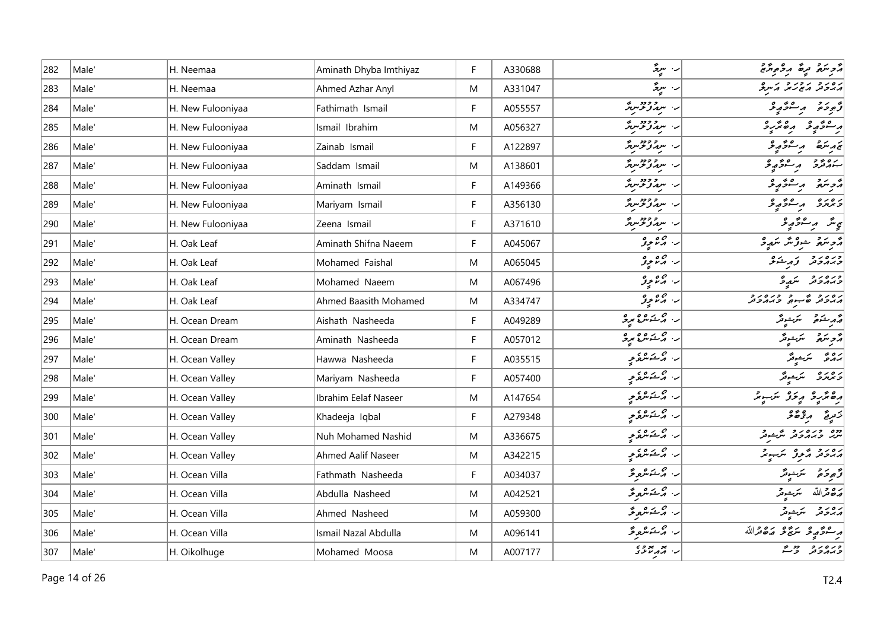| 282 | Male' | H. Neemaa         | Aminath Dhyba Imthiyaz    | F           | A330688 | ر. سردگر          | أزويته برة ودورة                   |
|-----|-------|-------------------|---------------------------|-------------|---------|-------------------|------------------------------------|
| 283 | Male' | H. Neemaa         | Ahmed Azhar Anyl          | M           | A331047 | ار، سرچ<br>ڪ      | גם גב גבגב ה'ייה ב                 |
| 284 | Male' | H. New Fulooniyaa | Fathimath Ismail          | F           | A055557 | ر. سرور وجو شرور  | ژُودَهُ پرَ دُوُږِ دُ              |
| 285 | Male' | H. New Fulooniyaa | Ismail Ibrahim            | M           | A056327 | ر. سرو و در پر    | برسۇپرۇ<br>مەھترىرى                |
| 286 | Male' | H. New Fulooniyaa | Zainab Ismail             | $\mathsf F$ | A122897 | ر. سرمرو حرمبرمر  | برے څېړ ی<br>يمرسرة                |
| 287 | Male' | H. New Fulooniyaa | Saddam Ismail             | M           | A138601 | ر. سرور ودر       | بە ھەم 2<br>سىمەمەمەر<br>برىشۇپەيۋ |
| 288 | Male' | H. New Fulooniyaa | Aminath Ismail            | $\mathsf F$ | A149366 | ر. سرویژ توسر مح  | ړو سره په سوګړيو                   |
| 289 | Male' | H. New Fulooniyaa | Mariyam Ismail            | F           | A356130 |                   | במתכ תייכתיב                       |
| 290 | Male' | H. New Fulooniyaa | Zeena Ismail              | F           | A371610 | ر. سرورو مریز     | پېر په موسوچ کوچو                  |
| 291 | Male' | H. Oak Leaf       | Aminath Shifna Naeem      | F           | A045067 | ر. دېموړو         | أأدجن والموالي المتمار             |
| 292 | Male' | H. Oak Leaf       | Mohamed Faishal           | M           | A065045 | ر. د عود          | ورەرو تەرشكى                       |
| 293 | Male' | H. Oak Leaf       | Mohamed Naeem             | M           | A067496 | ر. د عود          | ورەرو شھرى                         |
| 294 | Male' | H. Oak Leaf       | Ahmed Baasith Mohamed     | M           | A334747 | ر. دېموړ          | رەر د ئەسوچ دىرەر د                |
| 295 | Male' | H. Ocean Dream    | Aishath Nasheeda          | $\mathsf F$ | A049289 | ر. كەشكەر ئەر     | كمرشكم كرشونكر                     |
| 296 | Male' | H. Ocean Dream    | Aminath Nasheeda          | $\mathsf F$ | A057012 | ر. كۇڭ ئىرگى بېرى | أأترجم أتركي                       |
| 297 | Male' | H. Ocean Valley   | Hawwa Nasheeda            | F           | A035515 | ر. د شه شهره م    | رەپە س <i>ىبى</i> يەنگر            |
| 298 | Male' | H. Ocean Valley   | Mariyam Nasheeda          | F.          | A057400 | ر. ئۇيغىر ھۆمچە   | ویروژو سرشونگر                     |
| 299 | Male' | H. Ocean Valley   | Ibrahim Eelaf Naseer      | M           | A147654 | ر. د شه شهور      | رەتمرىرى رىزۇ تىرىپ                |
| 300 | Male' | H. Ocean Valley   | Khadeeja Iqbal            | F           | A279348 | ر. گەشەھۇمچە      | رَسِيعٌ دِءِ صَوْ                  |
| 301 | Male' | H. Ocean Valley   | Nuh Mohamed Nashid        | M           | A336675 | ر. د شه شره مو    | מם כנסנכ ל<br>יינג בגוגבת יינגיבת  |
| 302 | Male' | H. Ocean Valley   | <b>Ahmed Aalif Naseer</b> | M           | A342215 | ر. گرڪ مرگومو     | أورد أرود المبالج                  |
| 303 | Male' | H. Ocean Villa    | Fathmath Nasheeda         | F           | A034037 | ر. گرېندىقرو ئ    | وَجوحَة مَنْ مَرْسُوشَ             |
| 304 | Male' | H. Ocean Villa    | Abdulla Nasheed           | M           | A042521 | ر. ئۇشكىرىدۇ      | رەقراللە سەجىر                     |
| 305 | Male' | H. Ocean Villa    | Ahmed Nasheed             | M           | A059300 | ر. ەڭ شەھرىم      | برەر بە سكىشونتر                   |
| 306 | Male' | H. Ocean Villa    | Ismail Nazal Abdulla      | M           | A096141 | ر. ئەشئەشرە قە    | مر مؤرثة سَمَّعْ مَصْرَاللَّهِ     |
| 307 | Male' | H. Oikolhuge      | Mohamed Moosa             | M           | A007177 | ر، مجمد مود و     | ورەر دور                           |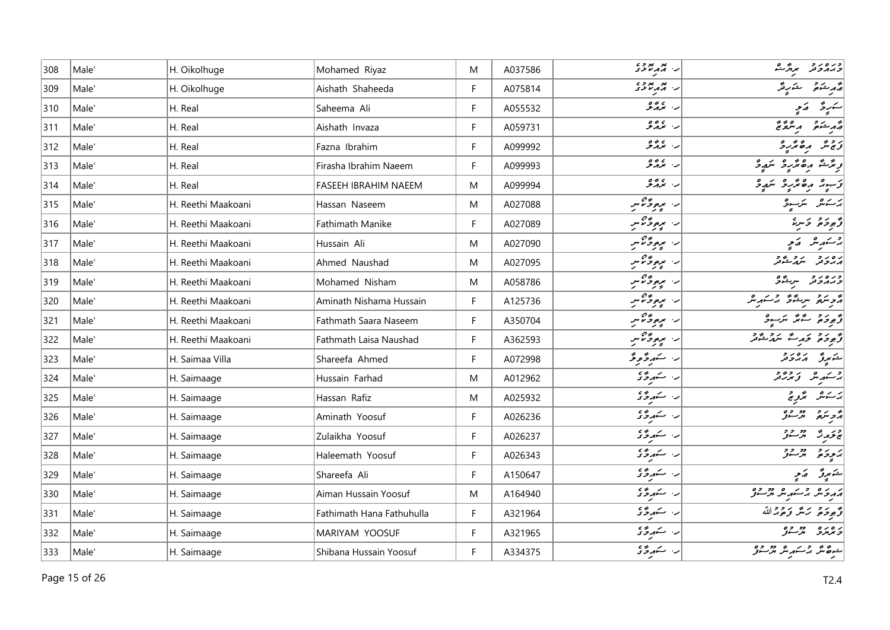| 308 | Male' | H. Oikolhuge       | Mohamed Riyaz               | M  | A037586 | ر، پر پروی    | ورەرو برېژگ                                 |
|-----|-------|--------------------|-----------------------------|----|---------|---------------|---------------------------------------------|
| 309 | Male' | H. Oikolhuge       | Aishath Shaheeda            | F. | A075814 | ر، میربردی    | ۇرمۇق مۇرۇ                                  |
| 310 | Male' | H. Real            | Saheema Ali                 | F. | A055532 | ر، بزوگر      | سنهای اړم په                                |
| 311 | Male' | H. Real            | Aishath Invaza              | F  | A059731 | ر، عهدٌ بحر   | ەر شرىقى تە<br>پ <sup>ھ</sup> پر شکھی       |
| 312 | Male' | H. Real            | Fazna Ibrahim               | F  | A099992 | ر، عهدٌ بحر   | ترويخ مرەمجرىرى                             |
| 313 | Male' | H. Real            | Firasha Ibrahim Naeem       | F  | A099993 | ر، عەممى      | وبراء ماه ترباه المماره                     |
| 314 | Male' | H. Real            | <b>FASEEH IBRAHIM NAEEM</b> | M  | A099994 | ر، بزوگر      | تزجيد مصريرة لتميز                          |
| 315 | Male' | H. Reethi Maakoani | Hassan Naseem               | M  | A027088 | ر برود نامبر  | پرستمبر مترسوفر                             |
| 316 | Male' | H. Reethi Maakoani | Fathimath Manike            | F. | A027089 | ر. برود نامبر | وتموخو خسرة                                 |
| 317 | Male' | H. Reethi Maakoani | Hussain Ali                 | M  | A027090 | ر بروژنامبر   | چرىسى مەير                                  |
| 318 | Male' | H. Reethi Maakoani | Ahmed Naushad               | M  | A027095 | ر برود نامبر  | رەرو شەرقىد                                 |
| 319 | Male' | H. Reethi Maakoani | Mohamed Nisham              | M  | A058786 | بالموجودين    | ورەر د سرگە                                 |
| 320 | Male' | H. Reethi Maakoani | Aminath Nishama Hussain     | F  | A125736 | ر. برەۋىيىتىر | أأدمر المستوفر المسترامل                    |
| 321 | Male' | H. Reethi Maakoani | Fathmath Saara Naseem       | F  | A350704 | ر برود نامبر  | و ده شر مرده                                |
| 322 | Male' | H. Reethi Maakoani | Fathmath Laisa Naushad      | F  | A362593 | ر بروژنامبر   | توجوجة كررت للمشتر                          |
| 323 | Male' | H. Saimaa Villa    | Shareefa Ahmed              | F  | A072998 | ر. سەردۇرۇ    | شەيرۇ كەردىر                                |
| 324 | Male' | H. Saimaage        | Hussain Farhad              | M  | A012962 | ر، ستهرونج    | جرسكهر مركز وعرفر                           |
| 325 | Male' | H. Saimaage        | Hassan Rafiz                | M  | A025932 | ر، ستهرونی    | يرىكىشە سەئىرىتى                            |
| 326 | Male' | H. Saimaage        | Aminath Yoosuf              | F  | A026236 | ر، ستهرونی    | أژ <sub>ج</sub> سَرَة مستوقى                |
| 327 | Male' | H. Saimaage        | Zulaikha Yoosuf             | F. | A026237 | ر، ستهرونی    | دو به د د<br>در سوز<br>چ ئۇ م <sup>ەش</sup> |
| 328 | Male' | H. Saimaage        | Haleemath Yoosuf            | F  | A026343 | ر، ستهرونی    |                                             |
| 329 | Male' | H. Saimaage        | Shareefa Ali                | F  | A150647 | ر، سەرچ       | شَهَرِزٌ - رَمِ                             |
| 330 | Male' | H. Saimaage        | Aiman Hussain Yoosuf        | M  | A164940 | ر. ستهروی     | ג גם גבות בית הבפ                           |
| 331 | Male' | H. Saimaage        | Fathimath Hana Fathuhulla   | F. | A321964 | ر، ستهرونی    | قرموح مرتكز وحرجه الله                      |
| 332 | Male' | H. Saimaage        | MARIYAM YOOSUF              | F  | A321965 | ر. ستهرونی    | נ סינים ומייכים<br>בינו <i>נים ונג</i>      |
| 333 | Male' | H. Saimaage        | Shibana Hussain Yoosuf      | F  | A334375 | ر. ستهرونی    | ا شو <i>ه مگر جر سور مگر مرسود</i><br>مراجع |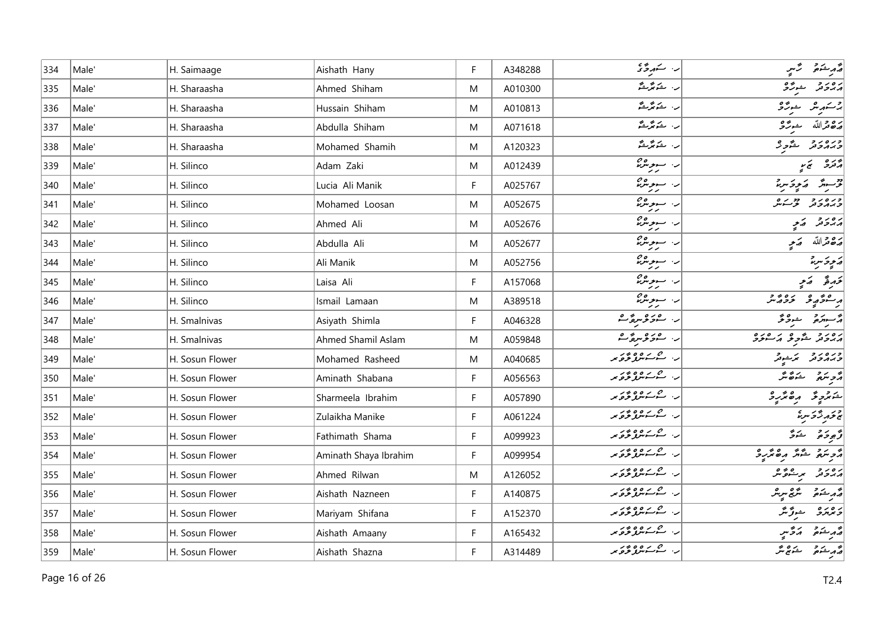| 334 | Male' | H. Saimaage     | Aishath Hany          | F           | A348288 | ر. ستەرىپى                  | و منظم محسن<br>مستضغر محسن                         |
|-----|-------|-----------------|-----------------------|-------------|---------|-----------------------------|----------------------------------------------------|
| 335 | Male' | H. Sharaasha    | Ahmed Shiham          | M           | A010300 | ر. ڪونگرڪُ                  | أرەر دىم ئىدى                                      |
| 336 | Male' | H. Sharaasha    | Hussain Shiham        | M           | A010813 | ر، ڪوگرڪُ                   | جر سەر شەر ئەر ئە                                  |
| 337 | Male' | H. Sharaasha    | Abdulla Shiham        | M           | A071618 | ر، ڪوگرڪُ                   | أركافرالله خدرو                                    |
| 338 | Male' | H. Sharaasha    | Mohamed Shamih        | M           | A120323 | ر، ڪونگرڪُ                  | ورەرو شەر                                          |
| 339 | Male' | H. Silinco      | Adam Zaki             | M           | A012439 | ر.<br>سوپر سر<br>سست        | أرتمرو بمي                                         |
| 340 | Male' | H. Silinco      | Lucia Ali Manik       | F           | A025767 | ر. سودره<br><u>سند</u>      | لتحسبة كالمجانبين                                  |
| 341 | Male' | H. Silinco      | Mohamed Loosan        | ${\sf M}$   | A052675 | ر. سود میرد؟<br><u>ست ا</u> | ورەرو دورىر                                        |
| 342 | Male' | H. Silinco      | Ahmed Ali             | ${\sf M}$   | A052676 | ر. سوپرتا<br><u>ست ر</u>    | پروژ په کام                                        |
| 343 | Male' | H. Silinco      | Abdulla Ali           | M           | A052677 | ر. سوپرتا<br>سس <u>سا</u>   | <mark>برة قر</mark> الله<br>ەتەجە                  |
| 344 | Male' | H. Silinco      | Ali Manik             | M           | A052756 | ر. سەرس<br>12               | وكبر وكسررة                                        |
| 345 | Male' | H. Silinco      | Laisa Ali             | F           | A157068 | ر.<br>תוכנות                | خدةً الأمج                                         |
| 346 | Male' | H. Silinco      | Ismail Lamaan         | M           | A389518 | ر. سوچین<br>سندر            |                                                    |
| 347 | Male' | H. Smalnivas    | Asiyath Shimla        | $\mathsf F$ | A046328 | ر. مشركة مريح مشر           | و سوره شود د                                       |
| 348 | Male' | H. Smalnivas    | Ahmed Shamil Aslam    | ${\sf M}$   | A059848 | ر. سۇ ئۇسۇ ئ                | أرور و مقرو أرامود                                 |
| 349 | Male' | H. Sosun Flower | Mohamed Rasheed       | ${\sf M}$   | A040685 | ر. گەسەھرىرى بىر            | دره د د پر په در<br>  د بر د د پر په په            |
| 350 | Male' | H. Sosun Flower | Aminath Shabana       | F           | A056563 | ر. گەسەھرىۋە ئىر            | أمر برو شكو شركته                                  |
| 351 | Male' | H. Sosun Flower | Sharmeela Ibrahim     | F           | A057890 | ر. گەسكەنلەر ئۆتۈنلەر       | شكروتخر مرەتمرو                                    |
| 352 | Male' | H. Sosun Flower | Zulaikha Manike       | F           | A061224 | ر. ئەسەمبەر ئۇغەير          | ە ئەر ئەڭ بىرىئا<br>م                              |
| 353 | Male' | H. Sosun Flower | Fathimath Shama       | $\mathsf F$ | A099923 | . مەسەمبەر <i>ۋە ئەر</i>    | وٌ و دَ و شَوَدٌ                                   |
| 354 | Male' | H. Sosun Flower | Aminath Shaya Ibrahim | F           | A099954 | ر. گەنئەمىرىمۇغۇمىر         | הכתב באת הסתקב                                     |
| 355 | Male' | H. Sosun Flower | Ahmed Rilwan          | M           | A126052 | گەسەمبروتۇھ بىر             | رەرد برىيەم<br>مەرىر برىنىمەش                      |
| 356 | Male' | H. Sosun Flower | Aishath Nazneen       | F           | A140875 | ر. ئەسەئىرىدى ئىر           | قەرشۇق سىق سرىئر                                   |
| 357 | Male' | H. Sosun Flower | Mariyam Shifana       | F           | A152370 | گەسەمبروتۇھ بىر             | ىشو <i>ۇ</i> ئىر<br>ر ه ر ه<br><del>و</del> بربر و |
| 358 | Male' | H. Sosun Flower | Aishath Amaany        | F           | A165432 | ر. ئەسەئىرىدى ئىر           | وأرشوه وكحس                                        |
| 359 | Male' | H. Sosun Flower | Aishath Shazna        | F           | A314489 | ر. گەسەمبۇ بۇيۇير           | مەر ئىكتى ئىككى ئىك                                |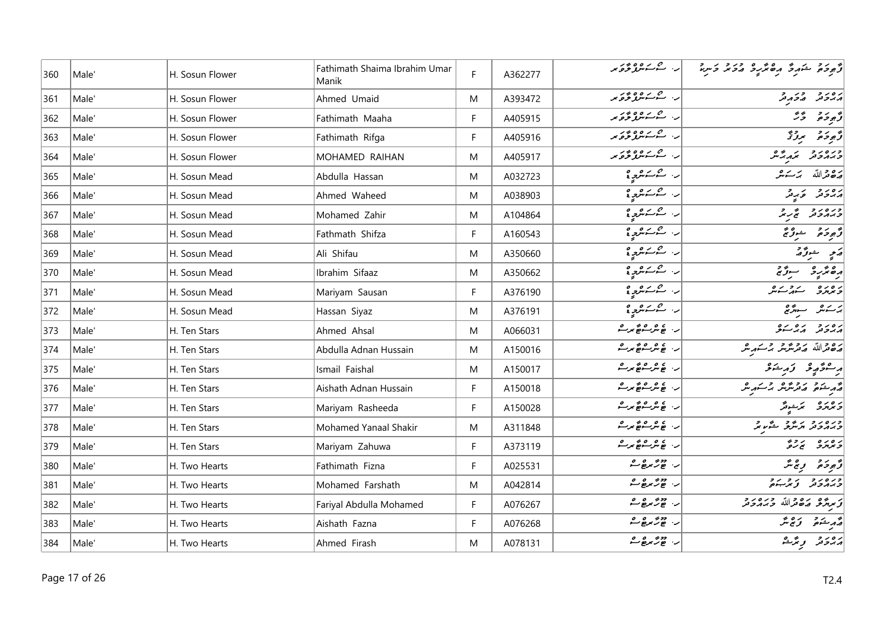| 360 | Male' | H. Sosun Flower | Fathimath Shaima Ibrahim Umar<br>Manik | F. | A362277 |                        | كوردة شركة مقتررة محدة وسره المستك معده وور |
|-----|-------|-----------------|----------------------------------------|----|---------|------------------------|---------------------------------------------|
| 361 | Male' | H. Sosun Flower | Ahmed Umaid                            | Μ  | A393472 | ر. گەسەھرىۋۇند         | גפיב בינב                                   |
| 362 | Male' | H. Sosun Flower | Fathimath Maaha                        | F  | A405915 | ر. گەسەمبرىزى بىر      | أوالمج والمحمد والمحارث                     |
| 363 | Male' | H. Sosun Flower | Fathimath Rifga                        | F. | A405916 | گەسەمبەر ئۇغاير        | وٌمِ وَمَعَ مَعَ وَفَحَ                     |
| 364 | Male' | H. Sosun Flower | MOHAMED RAIHAN                         | M  | A405917 | ر. كەسكەر ئۇغەير       | ورەرو بۇرگە                                 |
| 365 | Male' | H. Sosun Mead   | Abdulla Hassan                         | M  | A032723 | ر. گەككىرىي؟           | رەقراللە برىك                               |
| 366 | Male' | H. Sosun Mead   | Ahmed Waheed                           | M  | A038903 | ر. كەككەرگە            | كەردىر كەرىر                                |
| 367 | Male' | H. Sosun Mead   | Mohamed Zahir                          | M  | A104864 | ر. گەككىرىي؟           | ورەر ئەرىر                                  |
| 368 | Male' | H. Sosun Mead   | Fathmath Shifza                        | F  | A160543 | ر. كوكەنلوچ            | ۇي ئەر ئىسى ئە                              |
| 369 | Male' | H. Sosun Mead   | Ali Shifau                             | M  | A350660 | ر. كەككەرچ             | أوسمج المستوفي                              |
| 370 | Male' | H. Sosun Mead   | Ibrahim Sifaaz                         | M  | A350662 | ر. كەككەردى            | ەھترىرى سۆزى                                |
| 371 | Male' | H. Sosun Mead   | Mariyam Sausan                         | F. | A376190 | ر. گەككىرىي؟           | ر ه ر ه<br><del>ر</del> بربر ژ<br>سەپرىسە   |
| 372 | Male' | H. Sosun Mead   | Hassan Siyaz                           | Μ  | A376191 | ر. ڪيشمرچ              | برُسكوش سەدىج                               |
| 373 | Male' | H. Ten Stars    | Ahmed Ahsal                            | Μ  | A066031 |                        | رەرد رەپ                                    |
| 374 | Male' | H. Ten Stars    | Abdulla Adnan Hussain                  | Μ  | A150016 | ر. غ ترب ع ترب         | رەداللە روزىر جىكەر                         |
| 375 | Male' | H. Ten Stars    | Ismail Faishal                         | Μ  | A150017 |                        | وكالحمي وتركي                               |
| 376 | Male' | H. Ten Stars    | Aishath Adnan Hussain                  | F. | A150018 | ر.   ۾ ترڪو پرڪ        | د.<br>در شوه ارد مرس بر سور مر              |
| 377 | Male' | H. Ten Stars    | Mariyam Rasheeda                       | F. | A150028 | ر. غ مرگوغ برگ         | رەرە بەشەدگە                                |
| 378 | Male' | H. Ten Stars    | Mohamed Yanaal Shakir                  | M  | A311848 | ر. غ ترت-غ برت         | ورەر و روو ئەر                              |
| 379 | Male' | H. Ten Stars    | Mariyam Zahuwa                         | F. | A373119 | ر. غ ترت-غ برت         | נים נים ביבי<br>המחבר הביפ                  |
| 380 | Male' | H. Two Hearts   | Fathimath Fizna                        | F. | A025531 | ر. ڇڙ پرڇ ٿ            | د پوځ تو پوځ متر                            |
| 381 | Male' | H. Two Hearts   | Mohamed Farshath                       | M  | A042814 | ر. ڇڙ پرڇ ٿ            | ورەرو رورو                                  |
| 382 | Male' | H. Two Hearts   | Fariyal Abdulla Mohamed                | F. | A076267 | ر. ڇڙ <sub>مرھ</sub> م | ى يورى ئەھىراللە ئەرەر ئ                    |
| 383 | Male' | H. Two Hearts   | Aishath Fazna                          | F. | A076268 | ر. ڇڙ پرڇ ٿ            | ۇرمىئو ئەس                                  |
| 384 | Male' | H. Two Hearts   | Ahmed Firash                           | M  | A078131 | ر. ڇڙ پرڇ ٿ            | أرەر و پر ش                                 |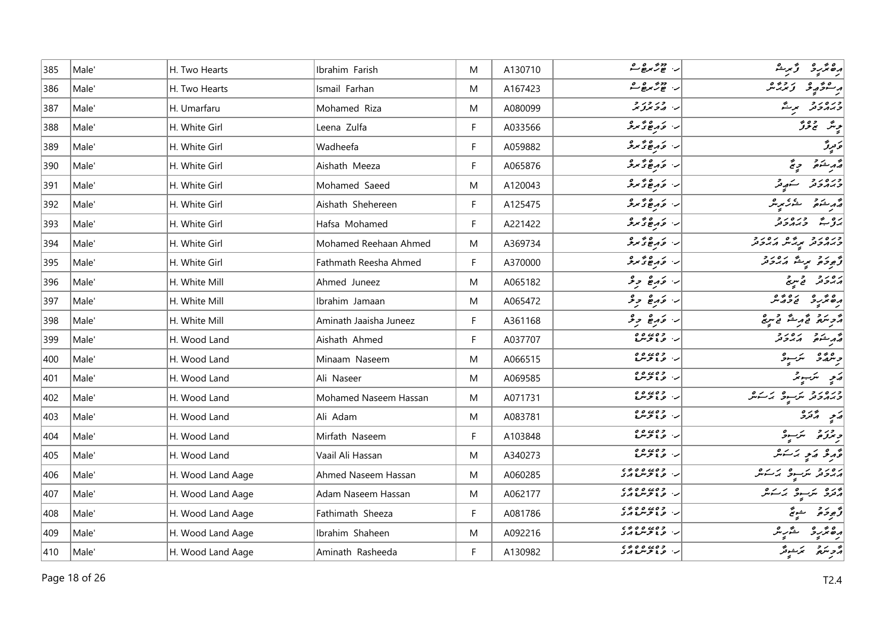| 385 | Male' | H. Two Hearts     | Ibrahim Farish         | M  | A130710 | ر. ڇڙ پرڇ پ                                           | رەپرىرو ئىبرىش                      |
|-----|-------|-------------------|------------------------|----|---------|-------------------------------------------------------|-------------------------------------|
| 386 | Male' | H. Two Hearts     | Ismail Farhan          | M  | A167423 | ر. ڇڙ پرڇ ٿ                                           | وستورو وتميم                        |
| 387 | Male' | H. Umarfaru       | Mohamed Riza           | M  | A080099 | ر                                                     | وره رو برگ                          |
| 388 | Male' | H. White Girl     | Leena Zulfa            | F  | A033566 | ر که عوض مرثر                                         | وپتر ہے بحرقر<br>م                  |
| 389 | Male' | H. White Girl     | Wadheefa               | F  | A059882 | $3.2399 -$                                            | تۇقرۇگ                              |
| 390 | Male' | H. White Girl     | Aishath Meeza          | F  | A065876 | ر ئەرقۇتمىۋ                                           | ۇ ب <sub>ە</sub> شەھ<br>جي          |
| 391 | Male' | H. White Girl     | Mohamed Saeed          | M  | A120043 | ر ، ئۇرغۇ ئەيدى                                       | و ر ه ر د<br>تر پر تر تر<br>سەر بىر |
| 392 | Male' | H. White Girl     | Aishath Shehereen      | F  | A125475 | ر کەرەپچە پرو                                         | أقهر شكوم الشوكر مريش               |
| 393 | Male' | H. White Girl     | Hafsa Mohamed          | F  | A221422 | ر که ۱۶۵ گرگر                                         | ره په دره د د<br>برو په د برمان     |
| 394 | Male' | H. White Girl     | Mohamed Reehaan Ahmed  | M  | A369734 | ر، ئۇرغۇ ئەربۇ                                        | ورەر دېر شهر دەر د                  |
| 395 | Male' | H. White Girl     | Fathmath Reesha Ahmed  | F. | A370000 | ر ، ھَ پر 2 جو جر ج                                   | ژوده برت ړی د                       |
| 396 | Male' | H. White Mill     | Ahmed Juneez           | M  | A065182 | ر، ءَرِءٌ دِوْ                                        | پروتر - ق سرچ                       |
| 397 | Male' | H. White Mill     | Ibrahim Jamaan         | M  | A065472 | ر، ءَرِءٌ دِوْ                                        | مصرير ودمم                          |
| 398 | Male' | H. White Mill     | Aminath Jaaisha Juneez | F  | A361168 | ر. ءَرِءٌ دِوْ                                        | أزويتم فأربش في يبدح                |
| 399 | Male' | H. Wood Land      | Aishath Ahmed          | F. | A037707 | ر وه پره ه<br>ر گروهن                                 | و دره ده دره<br>درگشوه مدروس        |
| 400 | Male' | H. Wood Land      | Minaam Naseem          | M  | A066515 | ر وه پره ه<br>ر گروهن                                 | ويتروز مترسود                       |
| 401 | Male' | H. Wood Land      | Ali Naseer             | M  | A069585 | ر. وە يە ە ە<br>ر. ئى توسرە                           | أوالمحمج التكييبوند                 |
| 402 | Male' | H. Wood Land      | Mohamed Naseem Hassan  | M  | A071731 | د وه پره ه<br>ر گروهن                                 | ورەرو برخو ئەسكە                    |
| 403 | Male' | H. Wood Land      | Ali Adam               | M  | A083781 | ر وەپرەە<br>ر بولامىس                                 | أيمي أيمرو                          |
| 404 | Male' | H. Wood Land      | Mirfath Naseem         | F  | A103848 | ر وەپرەە<br>ر بولامىس                                 | ويرزه لترسو                         |
| 405 | Male' | H. Wood Land      | Vaail Ali Hassan       | M  | A340273 | ر. وە يە دە<br>ر. ئەنزىس                              | قەر قەم ئەسەس                       |
| 406 | Male' | H. Wood Land Aage | Ahmed Naseem Hassan    | M  | A060285 | وەي ەە ە ە<br>رەسى ئەسىيە بەر                         | أرور والترسوف أركبش                 |
| 407 | Male' | H. Wood Land Aage | Adam Naseem Hassan     | M  | A062177 | وه پره وه پره<br>ر۰ کونا مخر مسرع اړي                 | ە ئەرە ئىزىدە ئەسەھ                 |
| 408 | Male' | H. Wood Land Aage | Fathimath Sheeza       | F  | A081786 | وه یوه وه بوء<br>ر• حر <del>ه م</del> رسو <i>پر</i> ی | قُهِ وَ مَحْمٍ مَسْتَمَحَ           |
| 409 | Male' | H. Wood Land Aage | Ibrahim Shaheen        | M  | A092216 | وه یوه وه پوء<br>ر• نوع محرسو دری                     | ەر ھەترىرى<br>ر                     |
| 410 | Male' | H. Wood Land Aage | Aminath Rasheeda       | F. | A130982 | وه یوه وه بر د<br>ر۰ و <b>؛ نو</b> سره ارد            | أأروبتهم أترشونكم                   |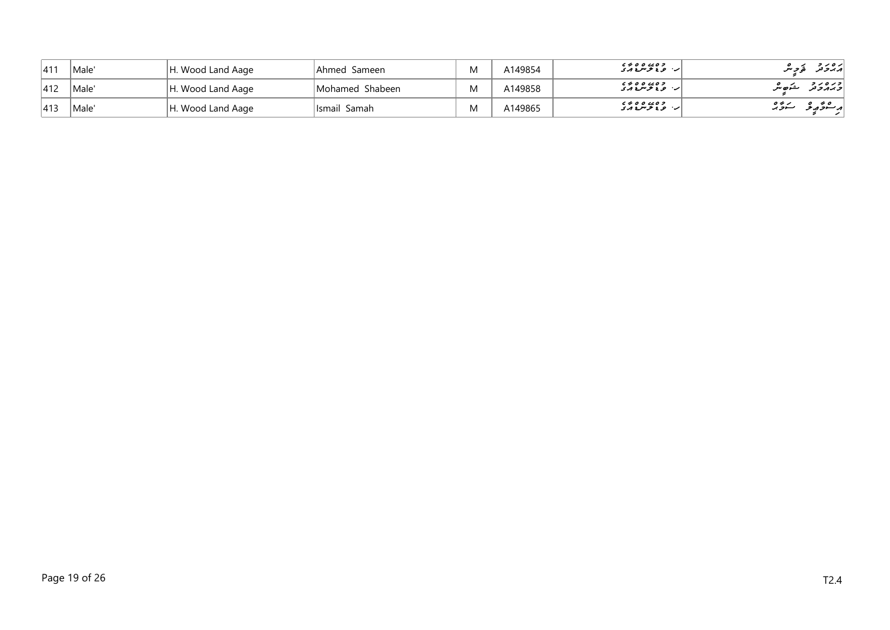| 411 | Male | l. Wood Land Aage | Ahmed Sameen    | M | A149854 | 6400000<br>  ب- و ه موسود در     | $\sim$ 0 $\times$<br>، بر بر و.                                               |
|-----|------|-------------------|-----------------|---|---------|----------------------------------|-------------------------------------------------------------------------------|
| 412 | Male | l. Wood Land Aage | Mohamed Shabeen | M | 1149858 | 6400000<br>  من کو پا موسوع ار ی | 20012<br><i>ح بر ۸ و</i> تر<br>سشوھ سر                                        |
| 413 | Male | l. Wood Land Aage | Ilsmail Samah   | M | A149865 | 6400000<br>  ر۰ و ه وسره در      | $\mathfrak{o}\mathfrak{o}\mathfrak{o}$ .<br>$\bullet$ 0<br>سىور بر<br>ナイフーー・ハ |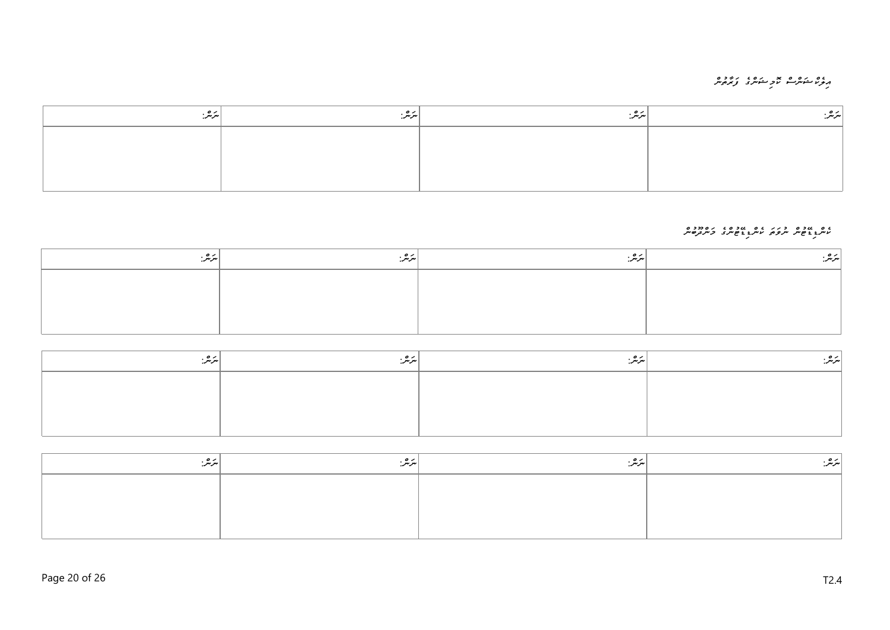## *w7qAn8m? sCw7mRo>u; wEw7mRw;sBo<*

| ' مرمر | 'يئرىثر: |
|--------|----------|
|        |          |
|        |          |
|        |          |

## *w7q9r@w7m> sCw7qHtFoFw7s; mAm=q7 w7qHtFoFw7s;*

| ىر تە | $\mathcal{O} \times$<br>$\sim$ | $\sim$<br>. . | لترنثر |
|-------|--------------------------------|---------------|--------|
|       |                                |               |        |
|       |                                |               |        |
|       |                                |               |        |

| $\frac{2}{n}$ | $^{\circ}$ | $\frac{2}{n}$ | $^{\circ}$<br>سرسر. |
|---------------|------------|---------------|---------------------|
|               |            |               |                     |
|               |            |               |                     |
|               |            |               |                     |

| ىرتىر: | 。<br>سر سر | .,<br>مرسر |
|--------|------------|------------|
|        |            |            |
|        |            |            |
|        |            |            |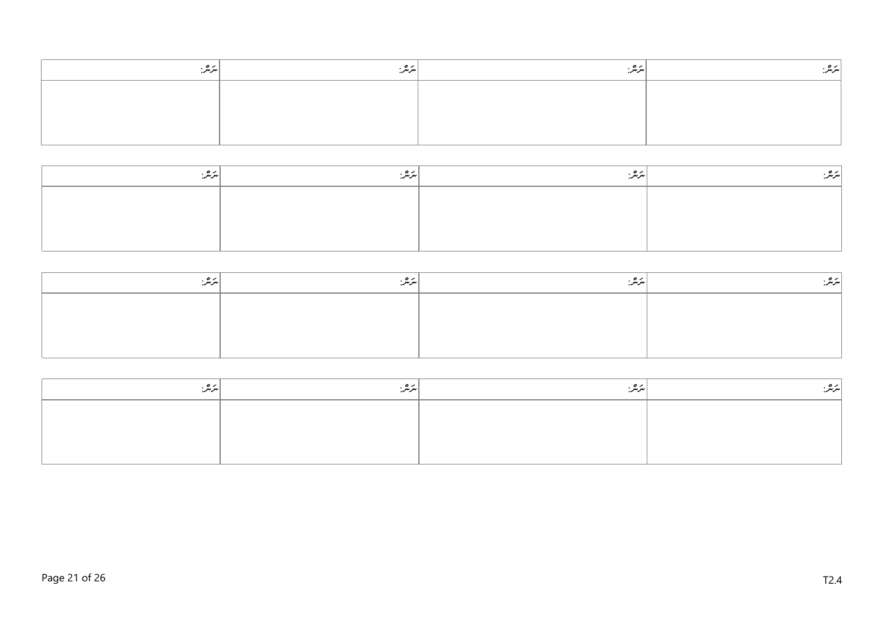| يزهر | $^{\circ}$ | ىئرىتر: |  |
|------|------------|---------|--|
|      |            |         |  |
|      |            |         |  |
|      |            |         |  |

| <sup>.</sup> سرسر. |  |
|--------------------|--|
|                    |  |
|                    |  |
|                    |  |

| ىئرىتر. | $\sim$ | ا بر هه. | لىرىش |
|---------|--------|----------|-------|
|         |        |          |       |
|         |        |          |       |
|         |        |          |       |

| 。<br>مرس. | $\overline{\phantom{a}}$<br>مر سر | ىرىر |
|-----------|-----------------------------------|------|
|           |                                   |      |
|           |                                   |      |
|           |                                   |      |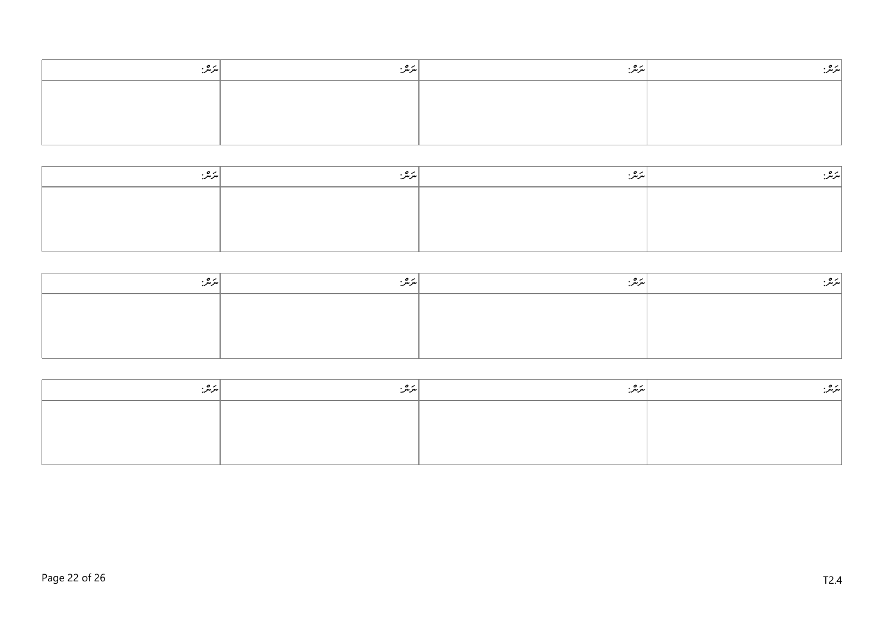| ير هو . | $\overline{\phantom{a}}$ | يرمر | اير هنه. |
|---------|--------------------------|------|----------|
|         |                          |      |          |
|         |                          |      |          |
|         |                          |      |          |

| ىر تىر: | $\circ$ $\sim$<br>" سرسر . | يترمير | o . |
|---------|----------------------------|--------|-----|
|         |                            |        |     |
|         |                            |        |     |
|         |                            |        |     |

| 'تترنثر: | ر ه |  |
|----------|-----|--|
|          |     |  |
|          |     |  |
|          |     |  |

|  | . ه |
|--|-----|
|  |     |
|  |     |
|  |     |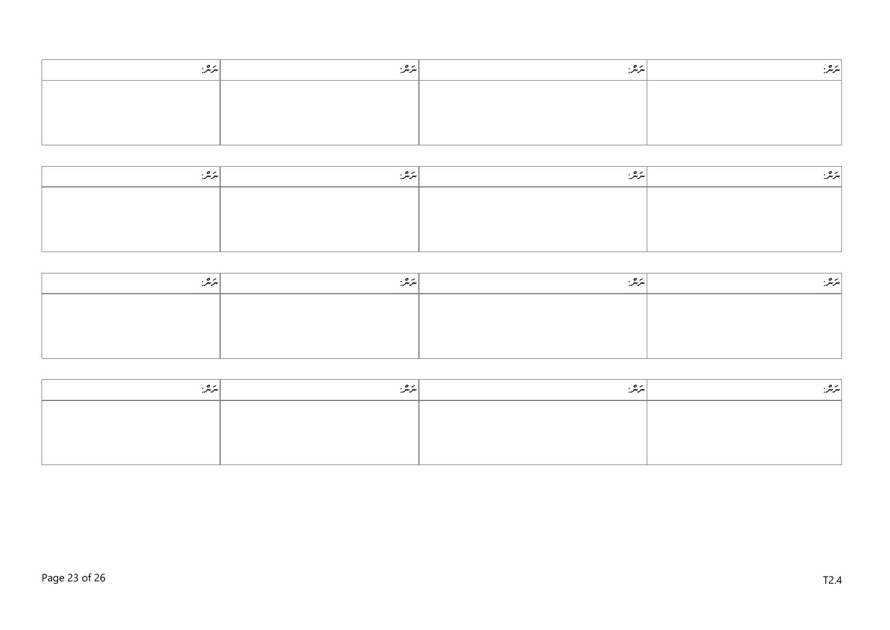| ير هو . | $\overline{\phantom{a}}$ | يرمر | اير هنه. |
|---------|--------------------------|------|----------|
|         |                          |      |          |
|         |                          |      |          |
|         |                          |      |          |

| ىر تىر: | $\circ$ $\sim$<br>" سرسر . | يترمير | o . |
|---------|----------------------------|--------|-----|
|         |                            |        |     |
|         |                            |        |     |
|         |                            |        |     |

| 'تترنثر: | ر ه |  |
|----------|-----|--|
|          |     |  |
|          |     |  |
|          |     |  |

|  | . ه |
|--|-----|
|  |     |
|  |     |
|  |     |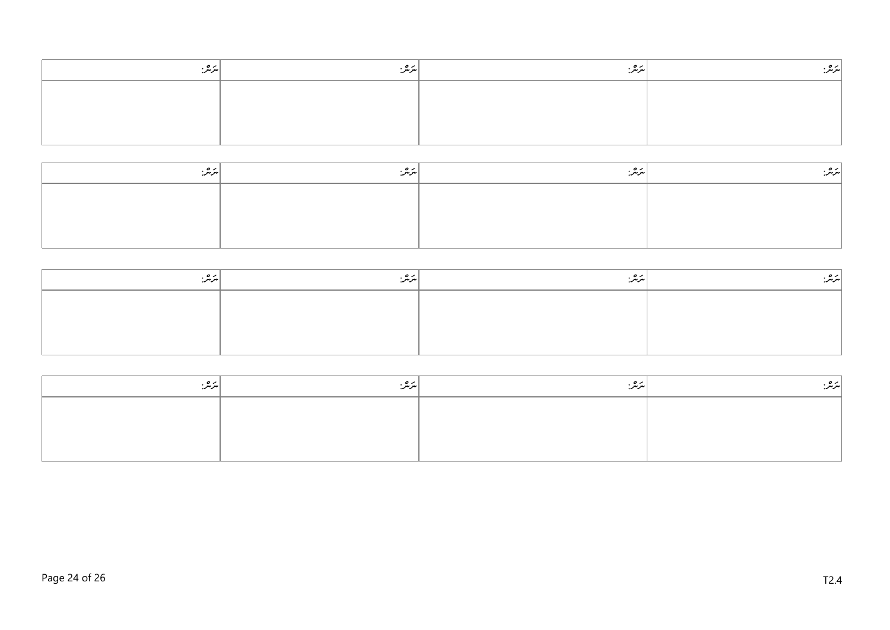| $\cdot$ | 。 | $\frac{\circ}{\cdot}$ | $\sim$<br>سرسر |
|---------|---|-----------------------|----------------|
|         |   |                       |                |
|         |   |                       |                |
|         |   |                       |                |

| ايرعر: | ر ه<br>. . |  |
|--------|------------|--|
|        |            |  |
|        |            |  |
|        |            |  |

| بر ه | . ه | $\sim$<br>سرسر |  |
|------|-----|----------------|--|
|      |     |                |  |
|      |     |                |  |
|      |     |                |  |

| 。<br>. س | ىرىىر |  |
|----------|-------|--|
|          |       |  |
|          |       |  |
|          |       |  |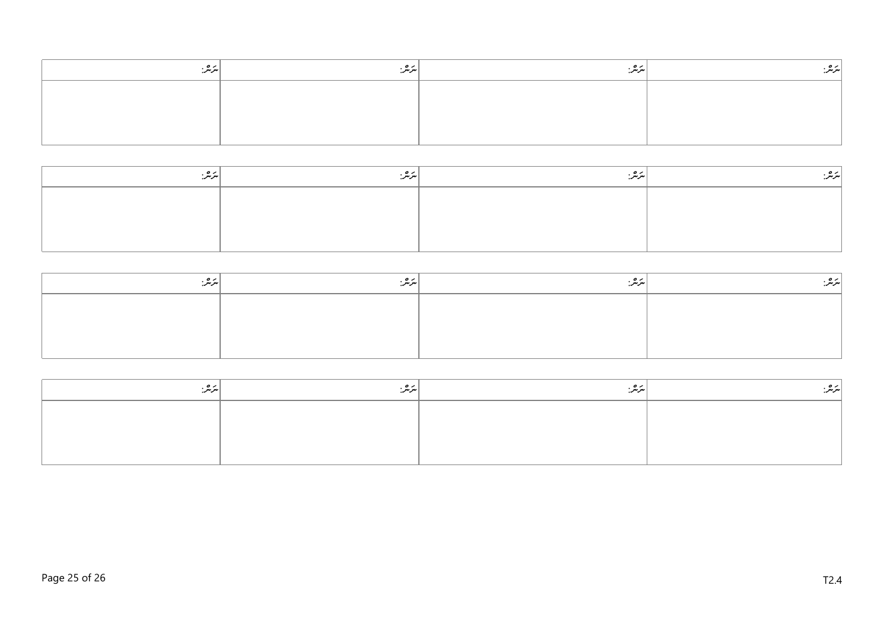| ير هو . | $\overline{\phantom{a}}$ | يرمر | اير هنه. |
|---------|--------------------------|------|----------|
|         |                          |      |          |
|         |                          |      |          |
|         |                          |      |          |

| ىر تىر: | $\circ$ $\sim$<br>" سرسر . | يترمير | o . |
|---------|----------------------------|--------|-----|
|         |                            |        |     |
|         |                            |        |     |
|         |                            |        |     |

| انترنثر: | ر ه |  |
|----------|-----|--|
|          |     |  |
|          |     |  |
|          |     |  |

|  | . ه |
|--|-----|
|  |     |
|  |     |
|  |     |